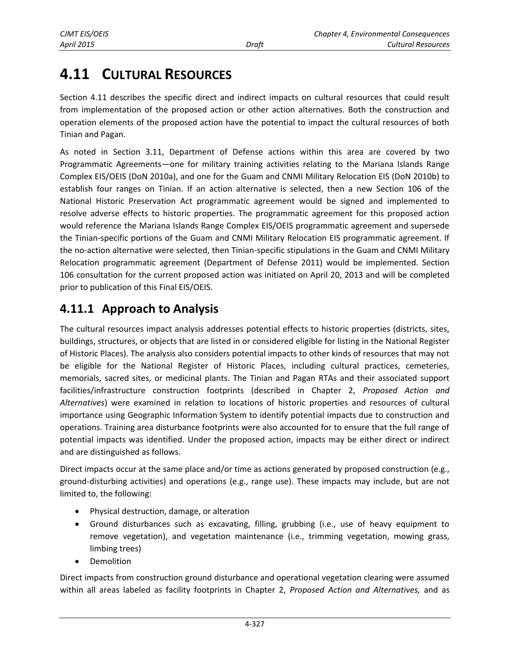# **4.11 CULTURAL RESOURCES**

Section 4.11 describes the specific direct and indirect impacts on cultural resources that could result from implementation of the proposed action or other action alternatives. Both the construction and operation elements of the proposed action have the potential to impact the cultural resources of both Tinian and Pagan.

As noted in Section 3.11, Department of Defense actions within this area are covered by two Programmatic Agreements—one for military training activities relating to the Mariana Islands Range Complex EIS/OEIS (DoN 2010a), and one for the Guam and CNMI Military Relocation EIS (DoN 2010b) to establish four ranges on Tinian. If an action alternative is selected, then a new Section 106 of the National Historic Preservation Act programmatic agreement would be signed and implemented to resolve adverse effects to historic properties. The programmatic agreement for this proposed action would reference the Mariana Islands Range Complex EIS/OEIS programmatic agreement and supersede the Tinian-specific portions of the Guam and CNMI Military Relocation EIS programmatic agreement. If the no-action alternative were selected, then Tinian-specific stipulations in the Guam and CNMI Military Relocation programmatic agreement (Department of Defense 2011) would be implemented. Section 106 consultation for the current proposed action was initiated on April 20, 2013 and will be completed prior to publication of this Final EIS/OEIS.

# **4.11.1 Approach to Analysis**

The cultural resources impact analysis addresses potential effects to historic properties (districts, sites, buildings, structures, or objects that are listed in or considered eligible for listing in the National Register of Historic Places). The analysis also considers potential impacts to other kinds of resources that may not be eligible for the National Register of Historic Places, including cultural practices, cemeteries, memorials, sacred sites, or medicinal plants. The Tinian and Pagan RTAs and their associated support facilities/infrastructure construction footprints (described in Chapter 2, *Proposed Action and Alternatives*) were examined in relation to locations of historic properties and resources of cultural importance using Geographic Information System to identify potential impacts due to construction and operations. Training area disturbance footprints were also accounted for to ensure that the full range of potential impacts was identified. Under the proposed action, impacts may be either direct or indirect and are distinguished as follows.

Direct impacts occur at the same place and/or time as actions generated by proposed construction (e.g., ground-disturbing activities) and operations (e.g., range use). These impacts may include, but are not limited to, the following:

- Physical destruction, damage, or alteration
- Ground disturbances such as excavating, filling, grubbing (i.e., use of heavy equipment to remove vegetation), and vegetation maintenance (i.e., trimming vegetation, mowing grass, limbing trees)
- Demolition

Direct impacts from construction ground disturbance and operational vegetation clearing were assumed within all areas labeled as facility footprints in Chapter 2, *Proposed Action and Alternatives,* and as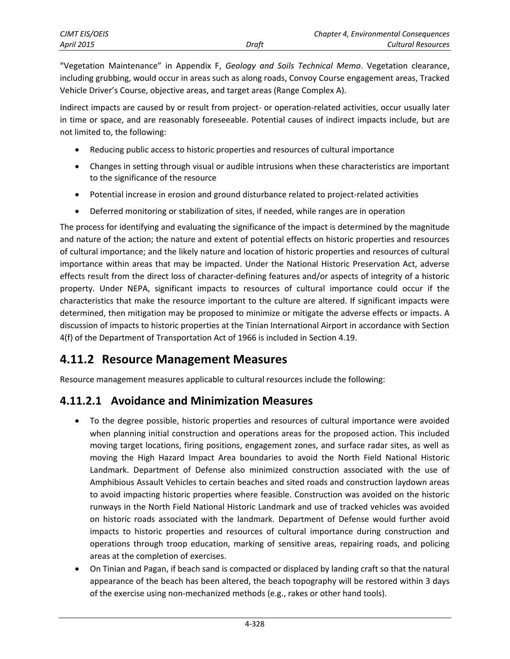| CJMT EIS/OEIS     |       | Chapter 4, Environmental Consequences |
|-------------------|-------|---------------------------------------|
| <b>April 2015</b> | Draft | Cultural Resources                    |

"Vegetation Maintenance" in Appendix F, *Geology and Soils Technical Memo*. Vegetation clearance, including grubbing, would occur in areas such as along roads, Convoy Course engagement areas, Tracked Vehicle Driver's Course, objective areas, and target areas (Range Complex A).

Indirect impacts are caused by or result from project- or operation-related activities, occur usually later in time or space, and are reasonably foreseeable. Potential causes of indirect impacts include, but are not limited to, the following:

- Reducing public access to historic properties and resources of cultural importance
- Changes in setting through visual or audible intrusions when these characteristics are important to the significance of the resource
- Potential increase in erosion and ground disturbance related to project-related activities
- Deferred monitoring or stabilization of sites, if needed, while ranges are in operation

The process for identifying and evaluating the significance of the impact is determined by the magnitude and nature of the action; the nature and extent of potential effects on historic properties and resources of cultural importance; and the likely nature and location of historic properties and resources of cultural importance within areas that may be impacted. Under the National Historic Preservation Act, adverse effects result from the direct loss of character-defining features and/or aspects of integrity of a historic property. Under NEPA, significant impacts to resources of cultural importance could occur if the characteristics that make the resource important to the culture are altered. If significant impacts were determined, then mitigation may be proposed to minimize or mitigate the adverse effects or impacts. A discussion of impacts to historic properties at the Tinian International Airport in accordance with Section 4(f) of the Department of Transportation Act of 1966 is included in Section 4.19.

# <span id="page-1-0"></span>**4.11.2 Resource Management Measures**

Resource management measures applicable to cultural resources include the following:

## **4.11.2.1 Avoidance and Minimization Measures**

- To the degree possible, historic properties and resources of cultural importance were avoided when planning initial construction and operations areas for the proposed action. This included moving target locations, firing positions, engagement zones, and surface radar sites, as well as moving the High Hazard Impact Area boundaries to avoid the North Field National Historic Landmark. Department of Defense also minimized construction associated with the use of Amphibious Assault Vehicles to certain beaches and sited roads and construction laydown areas to avoid impacting historic properties where feasible. Construction was avoided on the historic runways in the North Field National Historic Landmark and use of tracked vehicles was avoided on historic roads associated with the landmark. Department of Defense would further avoid impacts to historic properties and resources of cultural importance during construction and operations through troop education, marking of sensitive areas, repairing roads, and policing areas at the completion of exercises.
- On Tinian and Pagan, if beach sand is compacted or displaced by landing craft so that the natural appearance of the beach has been altered, the beach topography will be restored within 3 days of the exercise using non-mechanized methods (e.g., rakes or other hand tools).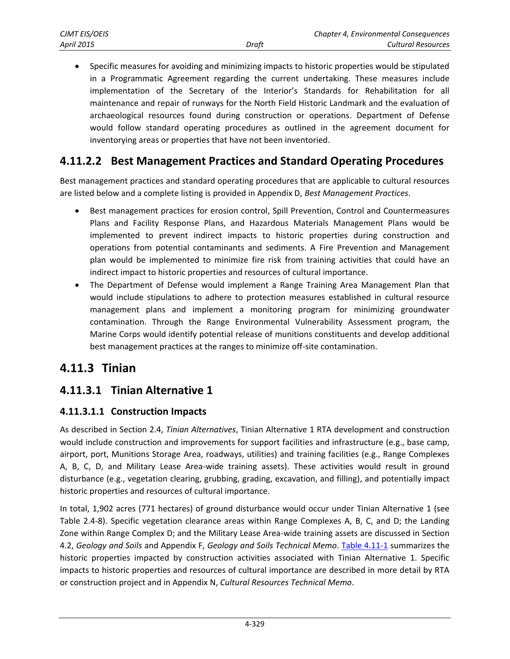Specific measures for avoiding and minimizing impacts to historic properties would be stipulated in a Programmatic Agreement regarding the current undertaking. These measures include implementation of the Secretary of the Interior's Standards for Rehabilitation for all maintenance and repair of runways for the North Field Historic Landmark and the evaluation of archaeological resources found during construction or operations. Department of Defense would follow standard operating procedures as outlined in the agreement document for inventorying areas or properties that have not been inventoried.

# **4.11.2.2 Best Management Practices and Standard Operating Procedures**

Best management practices and standard operating procedures that are applicable to cultural resources are listed below and a complete listing is provided in Appendix D, *Best Management Practices*.

- Best management practices for erosion control, Spill Prevention, Control and Countermeasures Plans and Facility Response Plans, and Hazardous Materials Management Plans would be implemented to prevent indirect impacts to historic properties during construction and operations from potential contaminants and sediments. A Fire Prevention and Management plan would be implemented to minimize fire risk from training activities that could have an indirect impact to historic properties and resources of cultural importance.
- The Department of Defense would implement a Range Training Area Management Plan that would include stipulations to adhere to protection measures established in cultural resource management plans and implement a monitoring program for minimizing groundwater contamination. Through the Range Environmental Vulnerability Assessment program, the Marine Corps would identify potential release of munitions constituents and develop additional best management practices at the ranges to minimize off-site contamination.

# **4.11.3 Tinian**

# <span id="page-2-0"></span>**4.11.3.1 Tinian Alternative 1**

## **4.11.3.1.1 Construction Impacts**

As described in Section 2.4, *Tinian Alternatives*, Tinian Alternative 1 RTA development and construction would include construction and improvements for support facilities and infrastructure (e.g., base camp, airport, port, Munitions Storage Area, roadways, utilities) and training facilities (e.g., Range Complexes A, B, C, D, and Military Lease Area-wide training assets). These activities would result in ground disturbance (e.g., vegetation clearing, grubbing, grading, excavation, and filling), and potentially impact historic properties and resources of cultural importance.

In total, 1,902 acres (771 hectares) of ground disturbance would occur under Tinian Alternative 1 (see Table 2.4-8). Specific vegetation clearance areas within Range Complexes A, B, C, and D; the Landing Zone within Range Complex D; and the Military Lease Area-wide training assets are discussed in Section 4.2, *Geology and Soils* and Appendix F, *Geology and Soils Technical Memo*. [Table 4.11-1](#page-3-0) summarizes the historic properties impacted by construction activities associated with Tinian Alternative 1. Specific impacts to historic properties and resources of cultural importance are described in more detail by RTA or construction project and in Appendix N, *Cultural Resources Technical Memo*.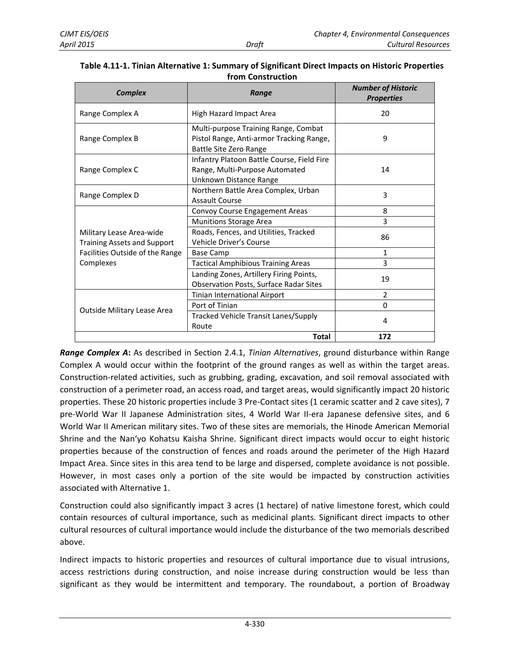| <b>Complex</b>                                                 | Range                                                                                                      | <b>Number of Historic</b><br><b>Properties</b> |
|----------------------------------------------------------------|------------------------------------------------------------------------------------------------------------|------------------------------------------------|
| Range Complex A                                                | High Hazard Impact Area                                                                                    | 20                                             |
| Range Complex B                                                | Multi-purpose Training Range, Combat<br>Pistol Range, Anti-armor Tracking Range,<br>Battle Site Zero Range | 9                                              |
| Range Complex C                                                | Infantry Platoon Battle Course, Field Fire<br>Range, Multi-Purpose Automated<br>Unknown Distance Range     | 14                                             |
| Range Complex D                                                | Northern Battle Area Complex, Urban<br><b>Assault Course</b>                                               | 3                                              |
|                                                                | Convoy Course Engagement Areas                                                                             | 8                                              |
|                                                                | <b>Munitions Storage Area</b>                                                                              | 3                                              |
| Military Lease Area-wide<br><b>Training Assets and Support</b> | Roads, Fences, and Utilities, Tracked<br>Vehicle Driver's Course                                           | 86                                             |
| Facilities Outside of the Range                                | <b>Base Camp</b>                                                                                           | $\mathbf{1}$                                   |
| Complexes                                                      | <b>Tactical Amphibious Training Areas</b>                                                                  | 3                                              |
|                                                                | Landing Zones, Artillery Firing Points,<br><b>Observation Posts, Surface Radar Sites</b>                   | 19                                             |
|                                                                | Tinian International Airport                                                                               | $\overline{2}$                                 |
|                                                                | Port of Tinian                                                                                             | $\Omega$                                       |
| Outside Military Lease Area                                    | Tracked Vehicle Transit Lanes/Supply<br>Route                                                              | 4                                              |
|                                                                | <b>Total</b>                                                                                               | 172                                            |

<span id="page-3-0"></span>

| Table 4.11-1. Tinian Alternative 1: Summary of Significant Direct Impacts on Historic Properties |
|--------------------------------------------------------------------------------------------------|
| from Construction                                                                                |

*Range Complex A***:** As described in Section 2.4.1, *Tinian Alternatives*, ground disturbance within Range Complex A would occur within the footprint of the ground ranges as well as within the target areas. Construction-related activities, such as grubbing, grading, excavation, and soil removal associated with construction of a perimeter road, an access road, and target areas, would significantly impact 20 historic properties. These 20 historic properties include 3 Pre-Contact sites (1 ceramic scatter and 2 cave sites), 7 pre-World War II Japanese Administration sites, 4 World War II-era Japanese defensive sites, and 6 World War II American military sites. Two of these sites are memorials, the Hinode American Memorial Shrine and the Nan'yo Kohatsu Kaisha Shrine. Significant direct impacts would occur to eight historic properties because of the construction of fences and roads around the perimeter of the High Hazard Impact Area. Since sites in this area tend to be large and dispersed, complete avoidance is not possible. However, in most cases only a portion of the site would be impacted by construction activities associated with Alternative 1.

Construction could also significantly impact 3 acres (1 hectare) of native limestone forest, which could contain resources of cultural importance, such as medicinal plants. Significant direct impacts to other cultural resources of cultural importance would include the disturbance of the two memorials described above.

Indirect impacts to historic properties and resources of cultural importance due to visual intrusions, access restrictions during construction, and noise increase during construction would be less than significant as they would be intermittent and temporary. The roundabout, a portion of Broadway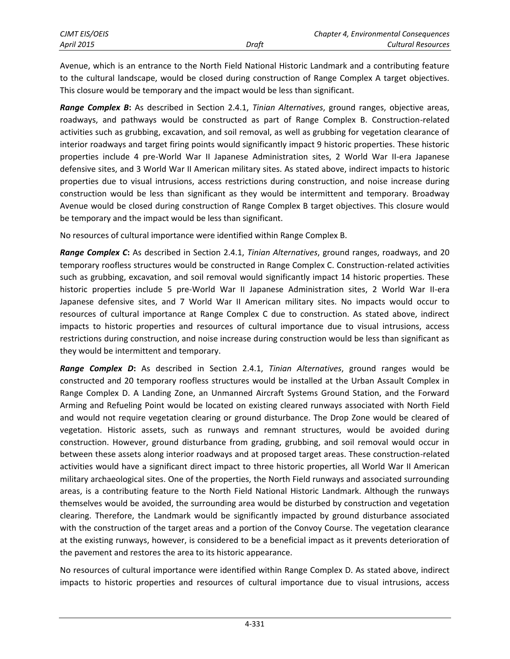Avenue, which is an entrance to the North Field National Historic Landmark and a contributing feature to the cultural landscape, would be closed during construction of Range Complex A target objectives. This closure would be temporary and the impact would be less than significant.

*Range Complex B***:** As described in Section 2.4.1, *Tinian Alternatives*, ground ranges, objective areas, roadways, and pathways would be constructed as part of Range Complex B. Construction-related activities such as grubbing, excavation, and soil removal, as well as grubbing for vegetation clearance of interior roadways and target firing points would significantly impact 9 historic properties. These historic properties include 4 pre-World War II Japanese Administration sites, 2 World War II-era Japanese defensive sites, and 3 World War II American military sites. As stated above, indirect impacts to historic properties due to visual intrusions, access restrictions during construction, and noise increase during construction would be less than significant as they would be intermittent and temporary. Broadway Avenue would be closed during construction of Range Complex B target objectives. This closure would be temporary and the impact would be less than significant.

No resources of cultural importance were identified within Range Complex B.

*Range Complex C***:** As described in Section 2.4.1, *Tinian Alternatives*, ground ranges, roadways, and 20 temporary roofless structures would be constructed in Range Complex C. Construction-related activities such as grubbing, excavation, and soil removal would significantly impact 14 historic properties. These historic properties include 5 pre-World War II Japanese Administration sites, 2 World War II-era Japanese defensive sites, and 7 World War II American military sites. No impacts would occur to resources of cultural importance at Range Complex C due to construction. As stated above, indirect impacts to historic properties and resources of cultural importance due to visual intrusions, access restrictions during construction, and noise increase during construction would be less than significant as they would be intermittent and temporary.

*Range Complex D***:** As described in Section 2.4.1, *Tinian Alternatives*, ground ranges would be constructed and 20 temporary roofless structures would be installed at the Urban Assault Complex in Range Complex D. A Landing Zone, an Unmanned Aircraft Systems Ground Station, and the Forward Arming and Refueling Point would be located on existing cleared runways associated with North Field and would not require vegetation clearing or ground disturbance. The Drop Zone would be cleared of vegetation. Historic assets, such as runways and remnant structures, would be avoided during construction. However, ground disturbance from grading, grubbing, and soil removal would occur in between these assets along interior roadways and at proposed target areas. These construction-related activities would have a significant direct impact to three historic properties, all World War II American military archaeological sites. One of the properties, the North Field runways and associated surrounding areas, is a contributing feature to the North Field National Historic Landmark. Although the runways themselves would be avoided, the surrounding area would be disturbed by construction and vegetation clearing. Therefore, the Landmark would be significantly impacted by ground disturbance associated with the construction of the target areas and a portion of the Convoy Course. The vegetation clearance at the existing runways, however, is considered to be a beneficial impact as it prevents deterioration of the pavement and restores the area to its historic appearance.

No resources of cultural importance were identified within Range Complex D. As stated above, indirect impacts to historic properties and resources of cultural importance due to visual intrusions, access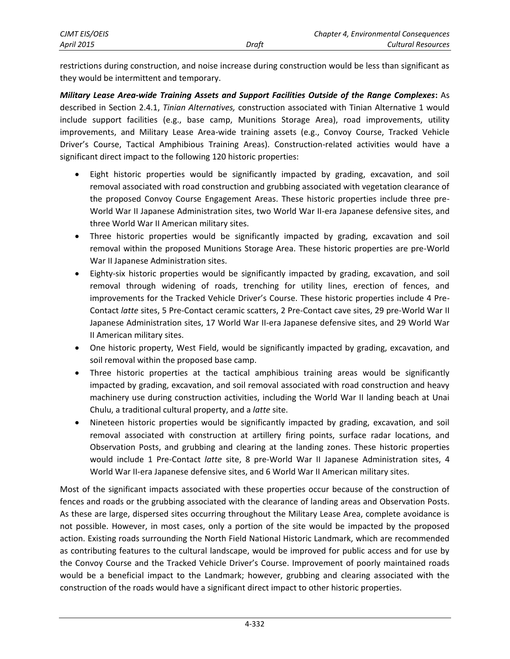restrictions during construction, and noise increase during construction would be less than significant as they would be intermittent and temporary.

*Military Lease Area-wide Training Assets and Support Facilities Outside of the Range Complexes***:** As described in Section 2.4.1, *Tinian Alternatives,* construction associated with Tinian Alternative 1 would include support facilities (e.g., base camp, Munitions Storage Area), road improvements, utility improvements, and Military Lease Area-wide training assets (e.g., Convoy Course, Tracked Vehicle Driver's Course, Tactical Amphibious Training Areas). Construction-related activities would have a significant direct impact to the following 120 historic properties:

- Eight historic properties would be significantly impacted by grading, excavation, and soil removal associated with road construction and grubbing associated with vegetation clearance of the proposed Convoy Course Engagement Areas. These historic properties include three pre-World War II Japanese Administration sites, two World War II-era Japanese defensive sites, and three World War II American military sites.
- Three historic properties would be significantly impacted by grading, excavation and soil removal within the proposed Munitions Storage Area. These historic properties are pre-World War II Japanese Administration sites.
- Eighty-six historic properties would be significantly impacted by grading, excavation, and soil removal through widening of roads, trenching for utility lines, erection of fences, and improvements for the Tracked Vehicle Driver's Course. These historic properties include 4 Pre-Contact *latte* sites, 5 Pre-Contact ceramic scatters, 2 Pre-Contact cave sites, 29 pre-World War II Japanese Administration sites, 17 World War II-era Japanese defensive sites, and 29 World War II American military sites.
- One historic property, West Field, would be significantly impacted by grading, excavation, and soil removal within the proposed base camp.
- Three historic properties at the tactical amphibious training areas would be significantly impacted by grading, excavation, and soil removal associated with road construction and heavy machinery use during construction activities, including the World War II landing beach at Unai Chulu, a traditional cultural property, and a *latte* site.
- Nineteen historic properties would be significantly impacted by grading, excavation, and soil removal associated with construction at artillery firing points, surface radar locations, and Observation Posts, and grubbing and clearing at the landing zones. These historic properties would include 1 Pre-Contact *latte* site, 8 pre-World War II Japanese Administration sites, 4 World War II-era Japanese defensive sites, and 6 World War II American military sites.

Most of the significant impacts associated with these properties occur because of the construction of fences and roads or the grubbing associated with the clearance of landing areas and Observation Posts. As these are large, dispersed sites occurring throughout the Military Lease Area, complete avoidance is not possible. However, in most cases, only a portion of the site would be impacted by the proposed action. Existing roads surrounding the North Field National Historic Landmark, which are recommended as contributing features to the cultural landscape, would be improved for public access and for use by the Convoy Course and the Tracked Vehicle Driver's Course. Improvement of poorly maintained roads would be a beneficial impact to the Landmark; however, grubbing and clearing associated with the construction of the roads would have a significant direct impact to other historic properties.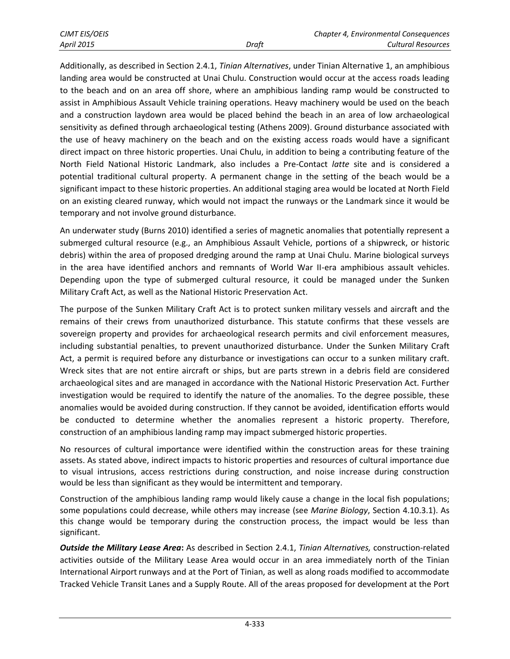Additionally, as described in Section 2.4.1, *Tinian Alternatives*, under Tinian Alternative 1, an amphibious landing area would be constructed at Unai Chulu. Construction would occur at the access roads leading to the beach and on an area off shore, where an amphibious landing ramp would be constructed to assist in Amphibious Assault Vehicle training operations. Heavy machinery would be used on the beach and a construction laydown area would be placed behind the beach in an area of low archaeological sensitivity as defined through archaeological testing (Athens 2009). Ground disturbance associated with the use of heavy machinery on the beach and on the existing access roads would have a significant direct impact on three historic properties. Unai Chulu, in addition to being a contributing feature of the North Field National Historic Landmark, also includes a Pre-Contact *latte* site and is considered a potential traditional cultural property. A permanent change in the setting of the beach would be a significant impact to these historic properties. An additional staging area would be located at North Field on an existing cleared runway, which would not impact the runways or the Landmark since it would be temporary and not involve ground disturbance.

An underwater study (Burns 2010) identified a series of magnetic anomalies that potentially represent a submerged cultural resource (e.g., an Amphibious Assault Vehicle, portions of a shipwreck, or historic debris) within the area of proposed dredging around the ramp at Unai Chulu. Marine biological surveys in the area have identified anchors and remnants of World War II-era amphibious assault vehicles. Depending upon the type of submerged cultural resource, it could be managed under the Sunken Military Craft Act, as well as the National Historic Preservation Act.

The purpose of the Sunken Military Craft Act is to protect sunken military vessels and aircraft and the remains of their crews from unauthorized disturbance. This statute confirms that these vessels are sovereign property and provides for archaeological research permits and civil enforcement measures, including substantial penalties, to prevent unauthorized disturbance. Under the Sunken Military Craft Act, a permit is required before any disturbance or investigations can occur to a sunken military craft. Wreck sites that are not entire aircraft or ships, but are parts strewn in a debris field are considered archaeological sites and are managed in accordance with the National Historic Preservation Act. Further investigation would be required to identify the nature of the anomalies. To the degree possible, these anomalies would be avoided during construction. If they cannot be avoided, identification efforts would be conducted to determine whether the anomalies represent a historic property. Therefore, construction of an amphibious landing ramp may impact submerged historic properties.

No resources of cultural importance were identified within the construction areas for these training assets. As stated above, indirect impacts to historic properties and resources of cultural importance due to visual intrusions, access restrictions during construction, and noise increase during construction would be less than significant as they would be intermittent and temporary.

Construction of the amphibious landing ramp would likely cause a change in the local fish populations; some populations could decrease, while others may increase (see *Marine Biology*, Section 4.10.3.1). As this change would be temporary during the construction process, the impact would be less than significant.

*Outside the Military Lease Area***:** As described in Section 2.4.1, *Tinian Alternatives,* construction-related activities outside of the Military Lease Area would occur in an area immediately north of the Tinian International Airport runways and at the Port of Tinian, as well as along roads modified to accommodate Tracked Vehicle Transit Lanes and a Supply Route. All of the areas proposed for development at the Port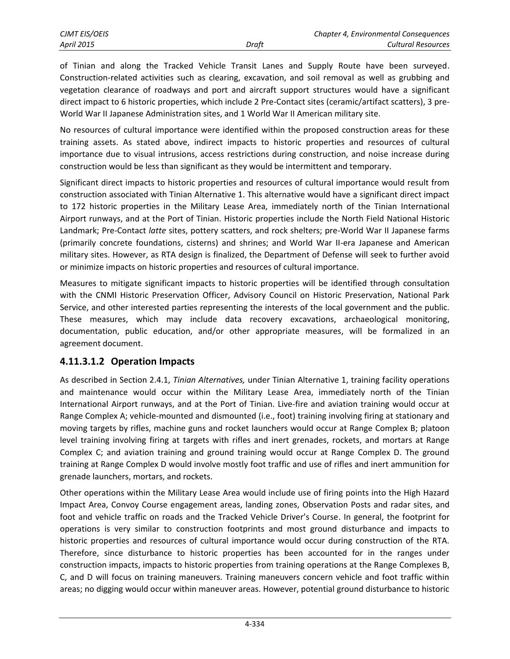of Tinian and along the Tracked Vehicle Transit Lanes and Supply Route have been surveyed. Construction-related activities such as clearing, excavation, and soil removal as well as grubbing and vegetation clearance of roadways and port and aircraft support structures would have a significant direct impact to 6 historic properties, which include 2 Pre-Contact sites (ceramic/artifact scatters), 3 pre-World War II Japanese Administration sites, and 1 World War II American military site.

No resources of cultural importance were identified within the proposed construction areas for these training assets. As stated above, indirect impacts to historic properties and resources of cultural importance due to visual intrusions, access restrictions during construction, and noise increase during construction would be less than significant as they would be intermittent and temporary.

Significant direct impacts to historic properties and resources of cultural importance would result from construction associated with Tinian Alternative 1. This alternative would have a significant direct impact to 172 historic properties in the Military Lease Area, immediately north of the Tinian International Airport runways, and at the Port of Tinian. Historic properties include the North Field National Historic Landmark; Pre-Contact *latte* sites, pottery scatters, and rock shelters; pre-World War II Japanese farms (primarily concrete foundations, cisterns) and shrines; and World War II-era Japanese and American military sites. However, as RTA design is finalized, the Department of Defense will seek to further avoid or minimize impacts on historic properties and resources of cultural importance.

Measures to mitigate significant impacts to historic properties will be identified through consultation with the CNMI Historic Preservation Officer, Advisory Council on Historic Preservation, National Park Service, and other interested parties representing the interests of the local government and the public. These measures, which may include data recovery excavations, archaeological monitoring, documentation, public education, and/or other appropriate measures, will be formalized in an agreement document.

#### **4.11.3.1.2 Operation Impacts**

As described in Section 2.4.1, *Tinian Alternatives,* under Tinian Alternative 1, training facility operations and maintenance would occur within the Military Lease Area, immediately north of the Tinian International Airport runways, and at the Port of Tinian. Live-fire and aviation training would occur at Range Complex A; vehicle-mounted and dismounted (i.e., foot) training involving firing at stationary and moving targets by rifles, machine guns and rocket launchers would occur at Range Complex B; platoon level training involving firing at targets with rifles and inert grenades, rockets, and mortars at Range Complex C; and aviation training and ground training would occur at Range Complex D. The ground training at Range Complex D would involve mostly foot traffic and use of rifles and inert ammunition for grenade launchers, mortars, and rockets.

Other operations within the Military Lease Area would include use of firing points into the High Hazard Impact Area, Convoy Course engagement areas, landing zones, Observation Posts and radar sites, and foot and vehicle traffic on roads and the Tracked Vehicle Driver's Course. In general, the footprint for operations is very similar to construction footprints and most ground disturbance and impacts to historic properties and resources of cultural importance would occur during construction of the RTA. Therefore, since disturbance to historic properties has been accounted for in the ranges under construction impacts, impacts to historic properties from training operations at the Range Complexes B, C, and D will focus on training maneuvers. Training maneuvers concern vehicle and foot traffic within areas; no digging would occur within maneuver areas. However, potential ground disturbance to historic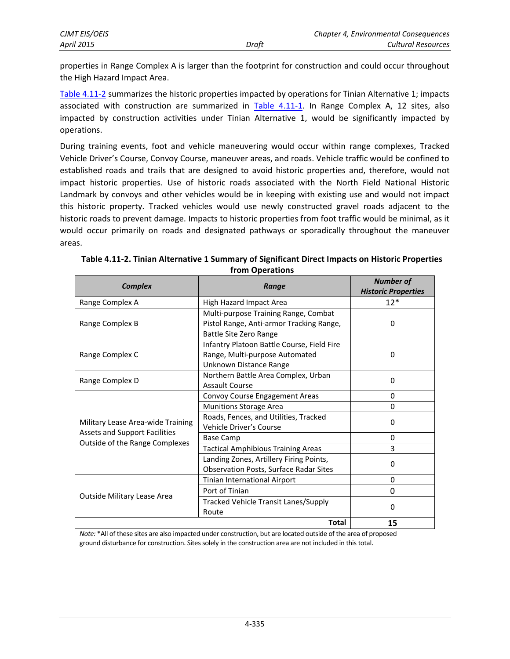| <b>CJMT EIS/OEIS</b> |       | <b>Chapter 4, Environmental Consequences</b> |
|----------------------|-------|----------------------------------------------|
| <b>April 2015</b>    | Draft | Cultural Resources                           |

properties in Range Complex A is larger than the footprint for construction and could occur throughout the High Hazard Impact Area.

[Table 4.11-2 s](#page-8-0)ummarizes the historic properties impacted by operations for Tinian Alternative 1; impacts associated with construction are summarized in [Table 4.11-1.](#page-3-0) In Range Complex A, 12 sites, also impacted by construction activities under Tinian Alternative 1, would be significantly impacted by operations.

During training events, foot and vehicle maneuvering would occur within range complexes, Tracked Vehicle Driver's Course, Convoy Course, maneuver areas, and roads. Vehicle traffic would be confined to established roads and trails that are designed to avoid historic properties and, therefore, would not impact historic properties. Use of historic roads associated with the North Field National Historic Landmark by convoys and other vehicles would be in keeping with existing use and would not impact this historic property. Tracked vehicles would use newly constructed gravel roads adjacent to the historic roads to prevent damage. Impacts to historic properties from foot traffic would be minimal, as it would occur primarily on roads and designated pathways or sporadically throughout the maneuver areas.

| <b>Complex</b>                                                                                              | Range                                                                                                      | <b>Number of</b><br><b>Historic Properties</b> |
|-------------------------------------------------------------------------------------------------------------|------------------------------------------------------------------------------------------------------------|------------------------------------------------|
| Range Complex A                                                                                             | High Hazard Impact Area                                                                                    | $12*$                                          |
| Range Complex B                                                                                             | Multi-purpose Training Range, Combat<br>Pistol Range, Anti-armor Tracking Range,<br>Battle Site Zero Range | 0                                              |
| Range Complex C                                                                                             | Infantry Platoon Battle Course, Field Fire<br>Range, Multi-purpose Automated<br>Unknown Distance Range     | 0                                              |
| Range Complex D                                                                                             | Northern Battle Area Complex, Urban<br>Assault Course                                                      | 0                                              |
|                                                                                                             | Convoy Course Engagement Areas                                                                             | 0                                              |
|                                                                                                             | <b>Munitions Storage Area</b>                                                                              | 0                                              |
| Military Lease Area-wide Training<br><b>Assets and Support Facilities</b><br>Outside of the Range Complexes | Roads, Fences, and Utilities, Tracked<br>Vehicle Driver's Course                                           | 0                                              |
|                                                                                                             | <b>Base Camp</b>                                                                                           | 0                                              |
|                                                                                                             | <b>Tactical Amphibious Training Areas</b>                                                                  | 3                                              |
|                                                                                                             | Landing Zones, Artillery Firing Points,<br><b>Observation Posts, Surface Radar Sites</b>                   | 0                                              |
|                                                                                                             | Tinian International Airport                                                                               | 0                                              |
| Outside Military Lease Area                                                                                 | Port of Tinian                                                                                             | 0                                              |
|                                                                                                             | Tracked Vehicle Transit Lanes/Supply<br>Route                                                              | $\Omega$                                       |
|                                                                                                             | <b>Total</b>                                                                                               | 15                                             |

<span id="page-8-0"></span>**Table 4.11-2. Tinian Alternative 1 Summary of Significant Direct Impacts on Historic Properties from Operations** 

*Note:* \*All of these sites are also impacted under construction, but are located outside of the area of proposed ground disturbance for construction. Sites solely in the construction area are not included in this total.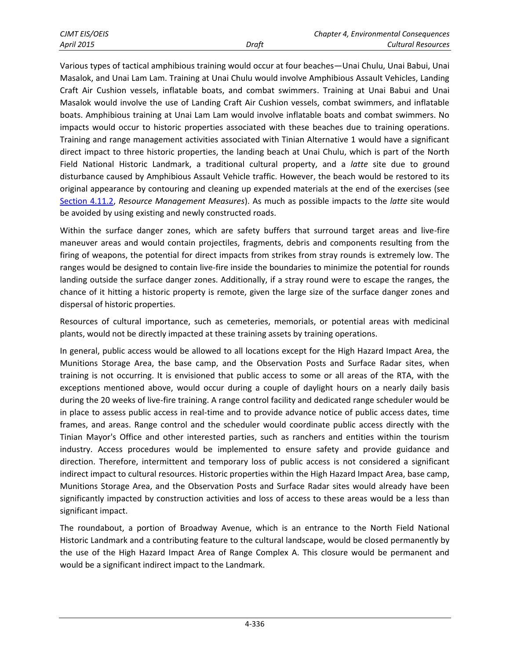Various types of tactical amphibious training would occur at four beaches—Unai Chulu, Unai Babui, Unai Masalok, and Unai Lam Lam. Training at Unai Chulu would involve Amphibious Assault Vehicles, Landing Craft Air Cushion vessels, inflatable boats, and combat swimmers. Training at Unai Babui and Unai Masalok would involve the use of Landing Craft Air Cushion vessels, combat swimmers, and inflatable boats. Amphibious training at Unai Lam Lam would involve inflatable boats and combat swimmers. No impacts would occur to historic properties associated with these beaches due to training operations. Training and range management activities associated with Tinian Alternative 1 would have a significant direct impact to three historic properties, the landing beach at Unai Chulu, which is part of the North Field National Historic Landmark, a traditional cultural property, and a *latte* site due to ground disturbance caused by Amphibious Assault Vehicle traffic. However, the beach would be restored to its original appearance by contouring and cleaning up expended materials at the end of the exercises (see [Section 4.11.2,](#page-1-0) *Resource Management Measures*). As much as possible impacts to the *latte* site would be avoided by using existing and newly constructed roads.

Within the surface danger zones, which are safety buffers that surround target areas and live-fire maneuver areas and would contain projectiles, fragments, debris and components resulting from the firing of weapons, the potential for direct impacts from strikes from stray rounds is extremely low. The ranges would be designed to contain live-fire inside the boundaries to minimize the potential for rounds landing outside the surface danger zones. Additionally, if a stray round were to escape the ranges, the chance of it hitting a historic property is remote, given the large size of the surface danger zones and dispersal of historic properties.

Resources of cultural importance, such as cemeteries, memorials, or potential areas with medicinal plants, would not be directly impacted at these training assets by training operations.

In general, public access would be allowed to all locations except for the High Hazard Impact Area, the Munitions Storage Area, the base camp, and the Observation Posts and Surface Radar sites, when training is not occurring. It is envisioned that public access to some or all areas of the RTA, with the exceptions mentioned above, would occur during a couple of daylight hours on a nearly daily basis during the 20 weeks of live-fire training. A range control facility and dedicated range scheduler would be in place to assess public access in real-time and to provide advance notice of public access dates, time frames, and areas. Range control and the scheduler would coordinate public access directly with the Tinian Mayor's Office and other interested parties, such as ranchers and entities within the tourism industry. Access procedures would be implemented to ensure safety and provide guidance and direction. Therefore, intermittent and temporary loss of public access is not considered a significant indirect impact to cultural resources. Historic properties within the High Hazard Impact Area, base camp, Munitions Storage Area, and the Observation Posts and Surface Radar sites would already have been significantly impacted by construction activities and loss of access to these areas would be a less than significant impact.

The roundabout, a portion of Broadway Avenue, which is an entrance to the North Field National Historic Landmark and a contributing feature to the cultural landscape, would be closed permanently by the use of the High Hazard Impact Area of Range Complex A. This closure would be permanent and would be a significant indirect impact to the Landmark.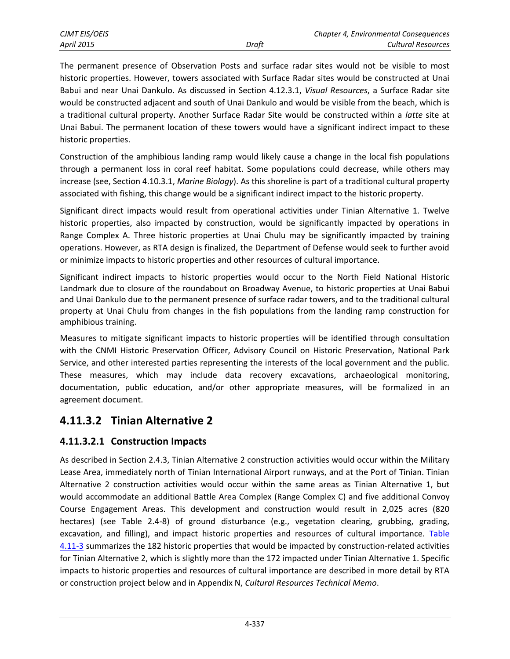The permanent presence of Observation Posts and surface radar sites would not be visible to most historic properties. However, towers associated with Surface Radar sites would be constructed at Unai Babui and near Unai Dankulo. As discussed in Section 4.12.3.1, *Visual Resources*, a Surface Radar site would be constructed adjacent and south of Unai Dankulo and would be visible from the beach, which is a traditional cultural property. Another Surface Radar Site would be constructed within a *latte* site at Unai Babui. The permanent location of these towers would have a significant indirect impact to these historic properties.

Construction of the amphibious landing ramp would likely cause a change in the local fish populations through a permanent loss in coral reef habitat. Some populations could decrease, while others may increase (see, Section 4.10.3.1, *Marine Biology*). As this shoreline is part of a traditional cultural property associated with fishing, this change would be a significant indirect impact to the historic property.

Significant direct impacts would result from operational activities under Tinian Alternative 1. Twelve historic properties, also impacted by construction, would be significantly impacted by operations in Range Complex A. Three historic properties at Unai Chulu may be significantly impacted by training operations. However, as RTA design is finalized, the Department of Defense would seek to further avoid or minimize impacts to historic properties and other resources of cultural importance.

Significant indirect impacts to historic properties would occur to the North Field National Historic Landmark due to closure of the roundabout on Broadway Avenue, to historic properties at Unai Babui and Unai Dankulo due to the permanent presence of surface radar towers, and to the traditional cultural property at Unai Chulu from changes in the fish populations from the landing ramp construction for amphibious training.

Measures to mitigate significant impacts to historic properties will be identified through consultation with the CNMI Historic Preservation Officer, Advisory Council on Historic Preservation, National Park Service, and other interested parties representing the interests of the local government and the public. These measures, which may include data recovery excavations, archaeological monitoring, documentation, public education, and/or other appropriate measures, will be formalized in an agreement document.

# **4.11.3.2 Tinian Alternative 2**

## **4.11.3.2.1 Construction Impacts**

As described in Section 2.4.3, Tinian Alternative 2 construction activities would occur within the Military Lease Area, immediately north of Tinian International Airport runways, and at the Port of Tinian. Tinian Alternative 2 construction activities would occur within the same areas as Tinian Alternative 1, but would accommodate an additional Battle Area Complex (Range Complex C) and five additional Convoy Course Engagement Areas. This development and construction would result in 2,025 acres (820 hectares) (see Table 2.4-8) of ground disturbance (e.g., vegetation clearing, grubbing, grading, excavation, and filling), and impact historic properties and resources of cultural importance. Table [4.11-3](#page-11-0) summarizes the 182 historic properties that would be impacted by construction-related activities for Tinian Alternative 2, which is slightly more than the 172 impacted under Tinian Alternative 1. Specific impacts to historic properties and resources of cultural importance are described in more detail by RTA or construction project below and in Appendix N, *Cultural Resources Technical Memo*.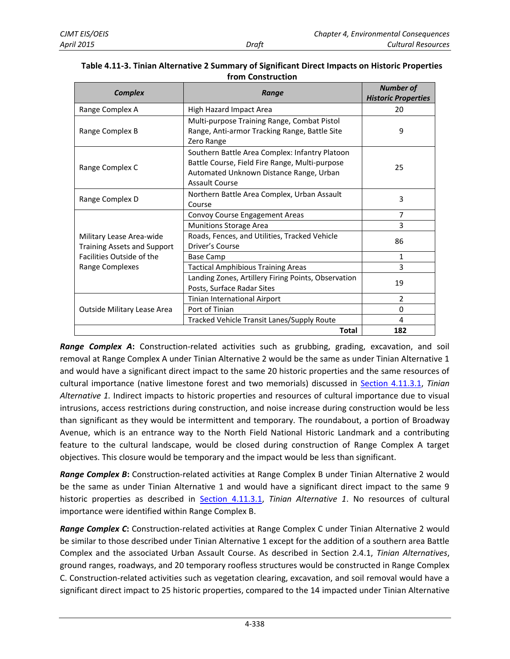| <b>Complex</b>                                                 | Range                                                                                                                                                         | <b>Number of</b><br><b>Historic Properties</b> |
|----------------------------------------------------------------|---------------------------------------------------------------------------------------------------------------------------------------------------------------|------------------------------------------------|
| Range Complex A                                                | High Hazard Impact Area                                                                                                                                       | 20                                             |
| Range Complex B                                                | Multi-purpose Training Range, Combat Pistol<br>Range, Anti-armor Tracking Range, Battle Site<br>Zero Range                                                    | 9                                              |
| Range Complex C                                                | Southern Battle Area Complex: Infantry Platoon<br>Battle Course, Field Fire Range, Multi-purpose<br>Automated Unknown Distance Range, Urban<br>Assault Course | 25                                             |
| Range Complex D                                                | Northern Battle Area Complex, Urban Assault<br>Course                                                                                                         | 3                                              |
|                                                                | Convoy Course Engagement Areas                                                                                                                                | $\overline{7}$                                 |
|                                                                | <b>Munitions Storage Area</b>                                                                                                                                 | 3                                              |
| Military Lease Area-wide<br><b>Training Assets and Support</b> | Roads, Fences, and Utilities, Tracked Vehicle<br>Driver's Course                                                                                              | 86                                             |
| Facilities Outside of the<br>Range Complexes                   | Base Camp                                                                                                                                                     | $\mathbf{1}$                                   |
|                                                                | <b>Tactical Amphibious Training Areas</b>                                                                                                                     | 3                                              |
|                                                                | Landing Zones, Artillery Firing Points, Observation<br>Posts, Surface Radar Sites                                                                             | 19                                             |
|                                                                | Tinian International Airport                                                                                                                                  | $\overline{2}$                                 |
| Outside Military Lease Area                                    | Port of Tinian                                                                                                                                                | $\Omega$                                       |
|                                                                | Tracked Vehicle Transit Lanes/Supply Route                                                                                                                    | 4                                              |
|                                                                | Total                                                                                                                                                         | 182                                            |

#### <span id="page-11-0"></span>**Table 4.11-3. Tinian Alternative 2 Summary of Significant Direct Impacts on Historic Properties from Construction**

*Range Complex A***:** Construction-related activities such as grubbing, grading, excavation, and soil removal at Range Complex A under Tinian Alternative 2 would be the same as under Tinian Alternative 1 and would have a significant direct impact to the same 20 historic properties and the same resources of cultural importance (native limestone forest and two memorials) discussed in [Section 4.11.3.1,](#page-2-0) *Tinian Alternative 1.* Indirect impacts to historic properties and resources of cultural importance due to visual intrusions, access restrictions during construction, and noise increase during construction would be less than significant as they would be intermittent and temporary. The roundabout, a portion of Broadway Avenue, which is an entrance way to the North Field National Historic Landmark and a contributing feature to the cultural landscape, would be closed during construction of Range Complex A target objectives. This closure would be temporary and the impact would be less than significant.

*Range Complex B***:** Construction-related activities at Range Complex B under Tinian Alternative 2 would be the same as under Tinian Alternative 1 and would have a significant direct impact to the same 9 historic properties as described in [Section 4.11.3.1,](#page-2-0) *Tinian Alternative 1*. No resources of cultural importance were identified within Range Complex B.

*Range Complex C***:** Construction-related activities at Range Complex C under Tinian Alternative 2 would be similar to those described under Tinian Alternative 1 except for the addition of a southern area Battle Complex and the associated Urban Assault Course. As described in Section 2.4.1, *Tinian Alternatives*, ground ranges, roadways, and 20 temporary roofless structures would be constructed in Range Complex C. Construction-related activities such as vegetation clearing, excavation, and soil removal would have a significant direct impact to 25 historic properties, compared to the 14 impacted under Tinian Alternative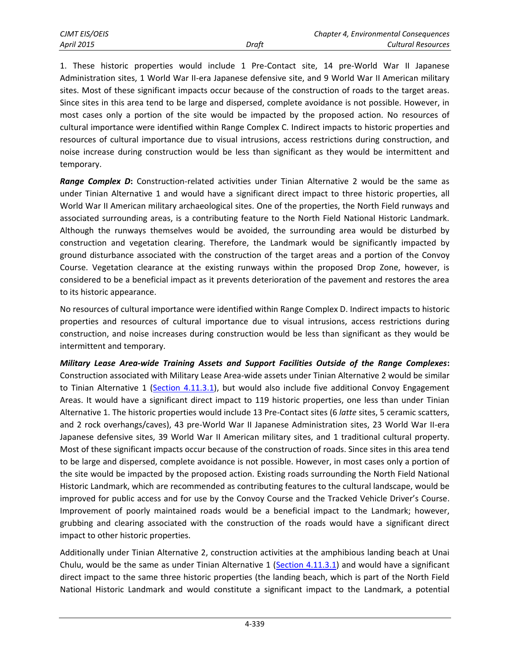1. These historic properties would include 1 Pre-Contact site, 14 pre-World War II Japanese Administration sites, 1 World War II-era Japanese defensive site, and 9 World War II American military sites. Most of these significant impacts occur because of the construction of roads to the target areas. Since sites in this area tend to be large and dispersed, complete avoidance is not possible. However, in most cases only a portion of the site would be impacted by the proposed action. No resources of cultural importance were identified within Range Complex C. Indirect impacts to historic properties and resources of cultural importance due to visual intrusions, access restrictions during construction, and noise increase during construction would be less than significant as they would be intermittent and temporary.

*Range Complex D***:** Construction-related activities under Tinian Alternative 2 would be the same as under Tinian Alternative 1 and would have a significant direct impact to three historic properties, all World War II American military archaeological sites. One of the properties, the North Field runways and associated surrounding areas, is a contributing feature to the North Field National Historic Landmark. Although the runways themselves would be avoided, the surrounding area would be disturbed by construction and vegetation clearing. Therefore, the Landmark would be significantly impacted by ground disturbance associated with the construction of the target areas and a portion of the Convoy Course. Vegetation clearance at the existing runways within the proposed Drop Zone, however, is considered to be a beneficial impact as it prevents deterioration of the pavement and restores the area to its historic appearance.

No resources of cultural importance were identified within Range Complex D. Indirect impacts to historic properties and resources of cultural importance due to visual intrusions, access restrictions during construction, and noise increases during construction would be less than significant as they would be intermittent and temporary.

*Military Lease Area-wide Training Assets and Support Facilities Outside of the Range Complexes***:** Construction associated with Military Lease Area-wide assets under Tinian Alternative 2 would be similar to Tinian Alternative 1 [\(Section 4.11.3.1\)](#page-2-0), but would also include five additional Convoy Engagement Areas. It would have a significant direct impact to 119 historic properties, one less than under Tinian Alternative 1. The historic properties would include 13 Pre-Contact sites (6 *latte* sites, 5 ceramic scatters, and 2 rock overhangs/caves), 43 pre-World War II Japanese Administration sites, 23 World War II-era Japanese defensive sites, 39 World War II American military sites, and 1 traditional cultural property. Most of these significant impacts occur because of the construction of roads. Since sites in this area tend to be large and dispersed, complete avoidance is not possible. However, in most cases only a portion of the site would be impacted by the proposed action. Existing roads surrounding the North Field National Historic Landmark, which are recommended as contributing features to the cultural landscape, would be improved for public access and for use by the Convoy Course and the Tracked Vehicle Driver's Course. Improvement of poorly maintained roads would be a beneficial impact to the Landmark; however, grubbing and clearing associated with the construction of the roads would have a significant direct impact to other historic properties.

Additionally under Tinian Alternative 2, construction activities at the amphibious landing beach at Unai Chulu, would be the same as under Tinian Alternative 1 [\(Section 4.11.3.1\)](#page-2-0) and would have a significant direct impact to the same three historic properties (the landing beach, which is part of the North Field National Historic Landmark and would constitute a significant impact to the Landmark, a potential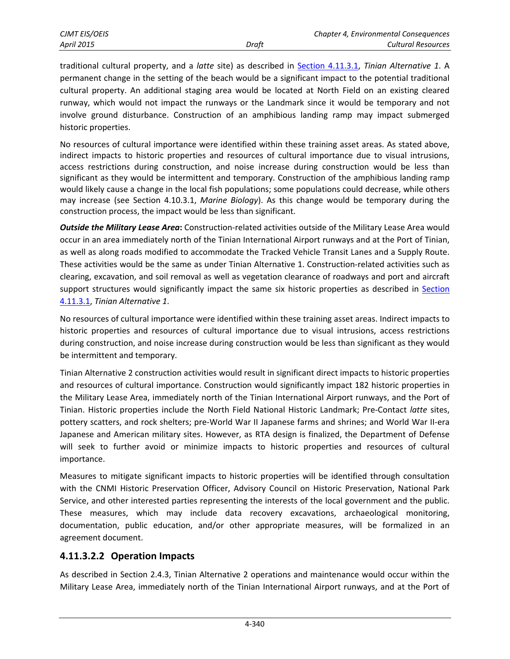traditional cultural property, and a *latte* site) as described in Section [4.11.3.1,](#page-2-0) *Tinian Alternative 1*. A permanent change in the setting of the beach would be a significant impact to the potential traditional cultural property. An additional staging area would be located at North Field on an existing cleared runway, which would not impact the runways or the Landmark since it would be temporary and not involve ground disturbance. Construction of an amphibious landing ramp may impact submerged historic properties.

No resources of cultural importance were identified within these training asset areas. As stated above, indirect impacts to historic properties and resources of cultural importance due to visual intrusions, access restrictions during construction, and noise increase during construction would be less than significant as they would be intermittent and temporary. Construction of the amphibious landing ramp would likely cause a change in the local fish populations; some populations could decrease, while others may increase (see Section 4.10.3.1, *Marine Biology*). As this change would be temporary during the construction process, the impact would be less than significant.

*Outside the Military Lease Area***:** Construction‐related activities outside of the Military Lease Area would occur in an area immediately north of the Tinian International Airport runways and at the Port of Tinian, as well as along roads modified to accommodate the Tracked Vehicle Transit Lanes and a Supply Route. These activities would be the same as under Tinian Alternative 1. Construction‐related activities such as clearing, excavation, and soil removal as well as vegetation clearance of roadways and port and aircraft support structures would significantly impact the same six historic properties as described in [Section](#page-2-0) [4.11.3.1,](#page-2-0) *Tinian Alternative 1*.

No resources of cultural importance were identified within these training asset areas. Indirect impacts to historic properties and resources of cultural importance due to visual intrusions, access restrictions during construction, and noise increase during construction would be less than significant as they would be intermittent and temporary.

Tinian Alternative 2 construction activities would result in significant direct impacts to historic properties and resources of cultural importance. Construction would significantly impact 182 historic properties in the Military Lease Area, immediately north of the Tinian International Airport runways, and the Port of Tinian. Historic properties include the North Field National Historic Landmark; Pre‐Contact *latte* sites, pottery scatters, and rock shelters; pre‐World War II Japanese farms and shrines; and World War II‐era Japanese and American military sites. However, as RTA design is finalized, the Department of Defense will seek to further avoid or minimize impacts to historic properties and resources of cultural importance.

Measures to mitigate significant impacts to historic properties will be identified through consultation with the CNMI Historic Preservation Officer, Advisory Council on Historic Preservation, National Park Service, and other interested parties representing the interests of the local government and the public. These measures, which may include data recovery excavations, archaeological monitoring, documentation, public education, and/or other appropriate measures, will be formalized in an agreement document.

#### **4.11.3.2.2 Operation Impacts**

As described in Section 2.4.3, Tinian Alternative 2 operations and maintenance would occur within the Military Lease Area, immediately north of the Tinian International Airport runways, and at the Port of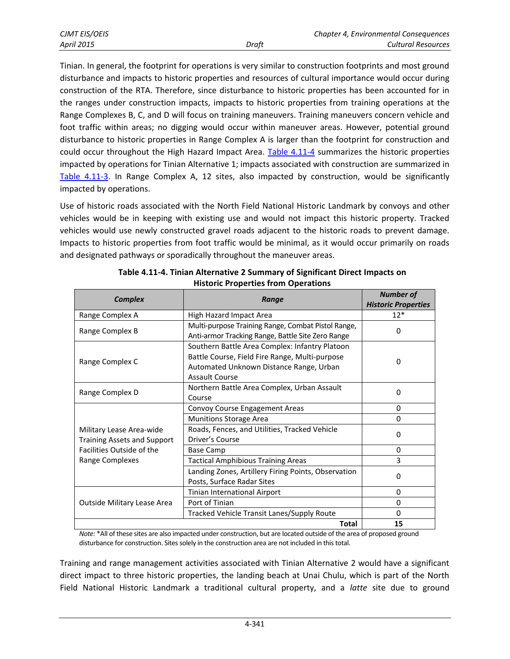| <b>CJMT EIS/OEIS</b> |       | <b>Chapter 4, Environmental Consequences</b> |
|----------------------|-------|----------------------------------------------|
| <b>April 2015</b>    | Draft | Cultural Resources                           |

<span id="page-14-1"></span>Tinian. In general, the footprint for operations is very similar to construction footprints and most ground disturbance and impacts to historic properties and resources of cultural importance would occur during construction of the RTA. Therefore, since disturbance to historic properties has been accounted for in the ranges under construction impacts, impacts to historic properties from training operations at the Range Complexes B, C, and D will focus on training maneuvers. Training maneuvers concern vehicle and foot traffic within areas; no digging would occur within maneuver areas. However, potential ground disturbance to historic properties in Range Complex A is larger than the footprint for construction and could occur throughout the High Hazard Impact Area. [Table 4.11-4](#page-14-0) summarizes the historic properties impacted by operations for Tinian Alternative 1; impacts associated with construction are summarized in [Table 4.11-3.](#page-11-0) In Range Complex A, 12 sites, also impacted by construction, would be significantly impacted by operations.

Use of historic roads associated with the North Field National Historic Landmark by convoys and other vehicles would be in keeping with existing use and would not impact this historic property. Tracked vehicles would use newly constructed gravel roads adjacent to the historic roads to prevent damage. Impacts to historic properties from foot traffic would be minimal, as it would occur primarily on roads and designated pathways or sporadically throughout the maneuver areas.

<span id="page-14-0"></span>

| <b>Complex</b>                                                 | Range                                                                                                                                                         | <b>Number of</b><br><b>Historic Properties</b> |
|----------------------------------------------------------------|---------------------------------------------------------------------------------------------------------------------------------------------------------------|------------------------------------------------|
| Range Complex A                                                | High Hazard Impact Area                                                                                                                                       | $12*$                                          |
| Range Complex B                                                | Multi-purpose Training Range, Combat Pistol Range,<br>Anti-armor Tracking Range, Battle Site Zero Range                                                       | $\Omega$                                       |
| Range Complex C                                                | Southern Battle Area Complex: Infantry Platoon<br>Battle Course, Field Fire Range, Multi-purpose<br>Automated Unknown Distance Range, Urban<br>Assault Course | $\Omega$                                       |
| Range Complex D                                                | Northern Battle Area Complex, Urban Assault<br>Course                                                                                                         | 0                                              |
|                                                                | Convoy Course Engagement Areas                                                                                                                                | $\Omega$                                       |
|                                                                | <b>Munitions Storage Area</b>                                                                                                                                 | $\Omega$                                       |
| Military Lease Area-wide<br><b>Training Assets and Support</b> | Roads, Fences, and Utilities, Tracked Vehicle<br>Driver's Course                                                                                              | $\Omega$                                       |
| Facilities Outside of the                                      | Base Camp                                                                                                                                                     | $\Omega$                                       |
| Range Complexes                                                | <b>Tactical Amphibious Training Areas</b>                                                                                                                     | 3                                              |
|                                                                | Landing Zones, Artillery Firing Points, Observation<br>Posts, Surface Radar Sites                                                                             | $\Omega$                                       |
|                                                                | Tinian International Airport                                                                                                                                  | $\Omega$                                       |
| Outside Military Lease Area                                    | Port of Tinian                                                                                                                                                | $\Omega$                                       |
|                                                                | Tracked Vehicle Transit Lanes/Supply Route                                                                                                                    | 0                                              |
|                                                                | <b>Total</b>                                                                                                                                                  | 15                                             |

| Table 4.11-4. Tinian Alternative 2 Summary of Significant Direct Impacts on |
|-----------------------------------------------------------------------------|
| <b>Historic Properties from Operations</b>                                  |

*Note:* \*All of these sites are also impacted under construction, but are located outside of the area of proposed ground disturbance for construction. Sites solely in the construction area are not included in this total.

Training and range management activities associated with Tinian Alternative 2 would have a significant direct impact to three historic properties, the landing beach at Unai Chulu, which is part of the North Field National Historic Landmark a traditional cultural property, and a *latte* site due to ground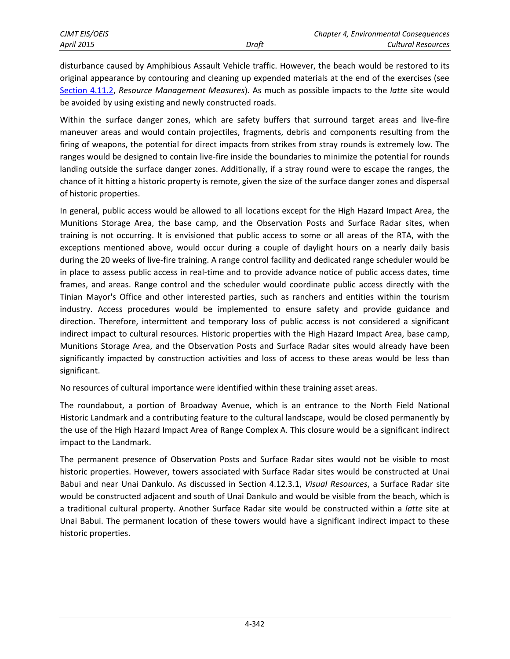disturbance caused by Amphibious Assault Vehicle traffic. However, the beach would be restored to its original appearance by contouring and cleaning up expended materials at the end of the exercises (see [Section 4.11.2,](#page-1-0) *Resource Management Measures*). As much as possible impacts to the *latte* site would be avoided by using existing and newly constructed roads.

Within the surface danger zones, which are safety buffers that surround target areas and live-fire maneuver areas and would contain projectiles, fragments, debris and components resulting from the firing of weapons, the potential for direct impacts from strikes from stray rounds is extremely low. The ranges would be designed to contain live-fire inside the boundaries to minimize the potential for rounds landing outside the surface danger zones. Additionally, if a stray round were to escape the ranges, the chance of it hitting a historic property is remote, given the size of the surface danger zones and dispersal of historic properties.

In general, public access would be allowed to all locations except for the High Hazard Impact Area, the Munitions Storage Area, the base camp, and the Observation Posts and Surface Radar sites, when training is not occurring. It is envisioned that public access to some or all areas of the RTA, with the exceptions mentioned above, would occur during a couple of daylight hours on a nearly daily basis during the 20 weeks of live-fire training. A range control facility and dedicated range scheduler would be in place to assess public access in real-time and to provide advance notice of public access dates, time frames, and areas. Range control and the scheduler would coordinate public access directly with the Tinian Mayor's Office and other interested parties, such as ranchers and entities within the tourism industry. Access procedures would be implemented to ensure safety and provide guidance and direction. Therefore, intermittent and temporary loss of public access is not considered a significant indirect impact to cultural resources. Historic properties with the High Hazard Impact Area, base camp, Munitions Storage Area, and the Observation Posts and Surface Radar sites would already have been significantly impacted by construction activities and loss of access to these areas would be less than significant.

No resources of cultural importance were identified within these training asset areas.

The roundabout, a portion of Broadway Avenue, which is an entrance to the North Field National Historic Landmark and a contributing feature to the cultural landscape, would be closed permanently by the use of the High Hazard Impact Area of Range Complex A. This closure would be a significant indirect impact to the Landmark.

The permanent presence of Observation Posts and Surface Radar sites would not be visible to most historic properties. However, towers associated with Surface Radar sites would be constructed at Unai Babui and near Unai Dankulo. As discussed in Section 4.12.3.1, *Visual Resources*, a Surface Radar site would be constructed adjacent and south of Unai Dankulo and would be visible from the beach, which is a traditional cultural property. Another Surface Radar site would be constructed within a *latte* site at Unai Babui. The permanent location of these towers would have a significant indirect impact to these historic properties.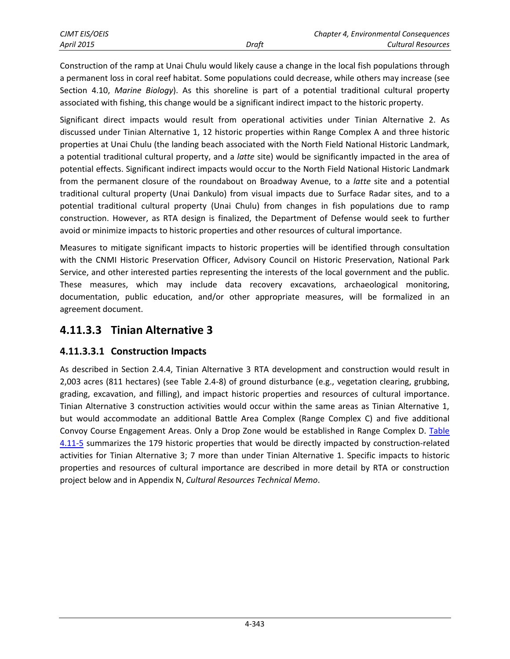Construction of the ramp at Unai Chulu would likely cause a change in the local fish populations through a permanent loss in coral reef habitat. Some populations could decrease, while others may increase (see Section 4.10, *Marine Biology*). As this shoreline is part of a potential traditional cultural property associated with fishing, this change would be a significant indirect impact to the historic property.

Significant direct impacts would result from operational activities under Tinian Alternative 2. As discussed under Tinian Alternative 1, 12 historic properties within Range Complex A and three historic properties at Unai Chulu (the landing beach associated with the North Field National Historic Landmark, a potential traditional cultural property, and a *latte* site) would be significantly impacted in the area of potential effects. Significant indirect impacts would occur to the North Field National Historic Landmark from the permanent closure of the roundabout on Broadway Avenue, to a *latte* site and a potential traditional cultural property (Unai Dankulo) from visual impacts due to Surface Radar sites, and to a potential traditional cultural property (Unai Chulu) from changes in fish populations due to ramp construction. However, as RTA design is finalized, the Department of Defense would seek to further avoid or minimize impacts to historic properties and other resources of cultural importance.

Measures to mitigate significant impacts to historic properties will be identified through consultation with the CNMI Historic Preservation Officer, Advisory Council on Historic Preservation, National Park Service, and other interested parties representing the interests of the local government and the public. These measures, which may include data recovery excavations, archaeological monitoring, documentation, public education, and/or other appropriate measures, will be formalized in an agreement document.

# **4.11.3.3 Tinian Alternative 3**

## **4.11.3.3.1 Construction Impacts**

As described in Section 2.4.4, Tinian Alternative 3 RTA development and construction would result in 2,003 acres (811 hectares) (see Table 2.4-8) of ground disturbance (e.g., vegetation clearing, grubbing, grading, excavation, and filling), and impact historic properties and resources of cultural importance. Tinian Alternative 3 construction activities would occur within the same areas as Tinian Alternative 1, but would accommodate an additional Battle Area Complex (Range Complex C) and five additional Convoy Course Engagement Areas. Only a Drop Zone would be established in Range Complex D. [Table](#page-17-0)  [4.11-5](#page-17-0) summarizes the 179 historic properties that would be directly impacted by construction-related activities for Tinian Alternative 3; 7 more than under Tinian Alternative 1. Specific impacts to historic properties and resources of cultural importance are described in more detail by RTA or construction project below and in Appendix N, *Cultural Resources Technical Memo*.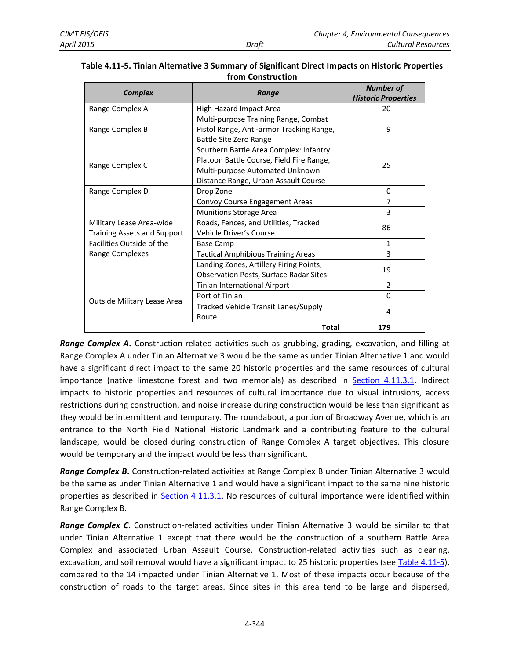| <b>Complex</b>                     | Range                                         | <b>Number of</b>           |  |
|------------------------------------|-----------------------------------------------|----------------------------|--|
|                                    |                                               | <b>Historic Properties</b> |  |
| Range Complex A                    | High Hazard Impact Area                       | 20                         |  |
|                                    | Multi-purpose Training Range, Combat          |                            |  |
| Range Complex B                    | Pistol Range, Anti-armor Tracking Range,      | 9                          |  |
|                                    | <b>Battle Site Zero Range</b>                 |                            |  |
|                                    | Southern Battle Area Complex: Infantry        |                            |  |
| Range Complex C                    | Platoon Battle Course, Field Fire Range,      | 25                         |  |
|                                    | Multi-purpose Automated Unknown               |                            |  |
|                                    | Distance Range, Urban Assault Course          |                            |  |
| Range Complex D                    | Drop Zone                                     | 0                          |  |
|                                    | Convoy Course Engagement Areas                | 7                          |  |
|                                    | <b>Munitions Storage Area</b>                 | 3                          |  |
| Military Lease Area-wide           | Roads, Fences, and Utilities, Tracked         | 86                         |  |
| <b>Training Assets and Support</b> | Vehicle Driver's Course                       |                            |  |
| Facilities Outside of the          | Base Camp                                     | 1                          |  |
| Range Complexes                    | Tactical Amphibious Training Areas            | 3                          |  |
|                                    | Landing Zones, Artillery Firing Points,       |                            |  |
|                                    | <b>Observation Posts, Surface Radar Sites</b> | 19                         |  |
|                                    | Tinian International Airport                  | $\overline{2}$             |  |
|                                    | Port of Tinian                                | $\Omega$                   |  |
| Outside Military Lease Area        | Tracked Vehicle Transit Lanes/Supply          | 4                          |  |
|                                    | Route                                         |                            |  |
|                                    | <b>Total</b>                                  | 179                        |  |

#### <span id="page-17-0"></span>**Table 4.11-5. Tinian Alternative 3 Summary of Significant Direct Impacts on Historic Properties from Construction**

*Range Complex A***.** Construction-related activities such as grubbing, grading, excavation, and filling at Range Complex A under Tinian Alternative 3 would be the same as under Tinian Alternative 1 and would have a significant direct impact to the same 20 historic properties and the same resources of cultural importance (native limestone forest and two memorials) as described in [Section 4.11.3.1.](#page-2-0) Indirect impacts to historic properties and resources of cultural importance due to visual intrusions, access restrictions during construction, and noise increase during construction would be less than significant as they would be intermittent and temporary. The roundabout, a portion of Broadway Avenue, which is an entrance to the North Field National Historic Landmark and a contributing feature to the cultural landscape, would be closed during construction of Range Complex A target objectives. This closure would be temporary and the impact would be less than significant.

*Range Complex B***.** Construction-related activities at Range Complex B under Tinian Alternative 3 would be the same as under Tinian Alternative 1 and would have a significant impact to the same nine historic properties as described in [Section 4.11.3.1.](#page-2-0) No resources of cultural importance were identified within Range Complex B.

*Range Complex C*. Construction-related activities under Tinian Alternative 3 would be similar to that under Tinian Alternative 1 except that there would be the construction of a southern Battle Area Complex and associated Urban Assault Course. Construction-related activities such as clearing, excavation, and soil removal would have a significant impact to 25 historic properties (see [Table 4.11-5\)](#page-17-0), compared to the 14 impacted under Tinian Alternative 1. Most of these impacts occur because of the construction of roads to the target areas. Since sites in this area tend to be large and dispersed,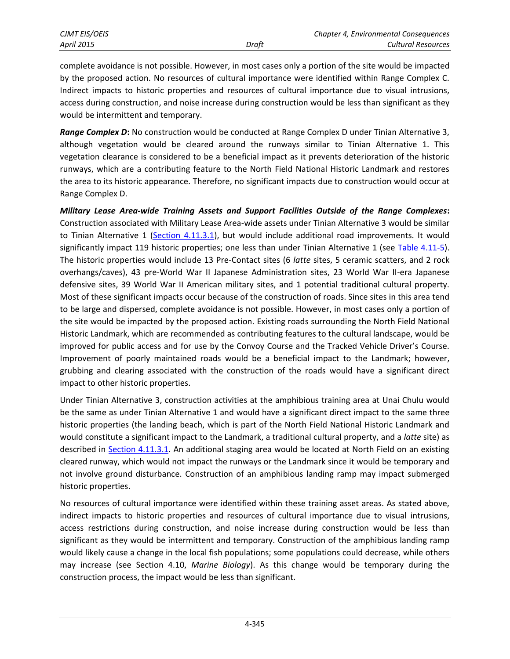complete avoidance is not possible. However, in most cases only a portion of the site would be impacted by the proposed action. No resources of cultural importance were identified within Range Complex C. Indirect impacts to historic properties and resources of cultural importance due to visual intrusions, access during construction, and noise increase during construction would be less than significant as they would be intermittent and temporary.

*Range Complex D***:** No construction would be conducted at Range Complex D under Tinian Alternative 3, although vegetation would be cleared around the runways similar to Tinian Alternative 1. This vegetation clearance is considered to be a beneficial impact as it prevents deterioration of the historic runways, which are a contributing feature to the North Field National Historic Landmark and restores the area to its historic appearance. Therefore, no significant impacts due to construction would occur at Range Complex D.

*Military Lease Area-wide Training Assets and Support Facilities Outside of the Range Complexes***:** Construction associated with Military Lease Area-wide assets under Tinian Alternative 3 would be similar to Tinian Alternative 1 [\(Section 4.11.3.1\)](#page-2-0), but would include additional road improvements. It would significantly impact 119 historic properties; one less than under Tinian Alternative 1 (see [Table 4.11-5\)](#page-17-0). The historic properties would include 13 Pre-Contact sites (6 *latte* sites, 5 ceramic scatters, and 2 rock overhangs/caves), 43 pre-World War II Japanese Administration sites, 23 World War II-era Japanese defensive sites, 39 World War II American military sites, and 1 potential traditional cultural property. Most of these significant impacts occur because of the construction of roads. Since sites in this area tend to be large and dispersed, complete avoidance is not possible. However, in most cases only a portion of the site would be impacted by the proposed action. Existing roads surrounding the North Field National Historic Landmark, which are recommended as contributing features to the cultural landscape, would be improved for public access and for use by the Convoy Course and the Tracked Vehicle Driver's Course. Improvement of poorly maintained roads would be a beneficial impact to the Landmark; however, grubbing and clearing associated with the construction of the roads would have a significant direct impact to other historic properties.

Under Tinian Alternative 3, construction activities at the amphibious training area at Unai Chulu would be the same as under Tinian Alternative 1 and would have a significant direct impact to the same three historic properties (the landing beach, which is part of the North Field National Historic Landmark and would constitute a significant impact to the Landmark, a traditional cultural property, and a *latte* site) as described in [Section 4.11.3.1.](#page-2-0) An additional staging area would be located at North Field on an existing cleared runway, which would not impact the runways or the Landmark since it would be temporary and not involve ground disturbance. Construction of an amphibious landing ramp may impact submerged historic properties.

No resources of cultural importance were identified within these training asset areas. As stated above, indirect impacts to historic properties and resources of cultural importance due to visual intrusions, access restrictions during construction, and noise increase during construction would be less than significant as they would be intermittent and temporary. Construction of the amphibious landing ramp would likely cause a change in the local fish populations; some populations could decrease, while others may increase (see Section 4.10, *Marine Biology*). As this change would be temporary during the construction process, the impact would be less than significant.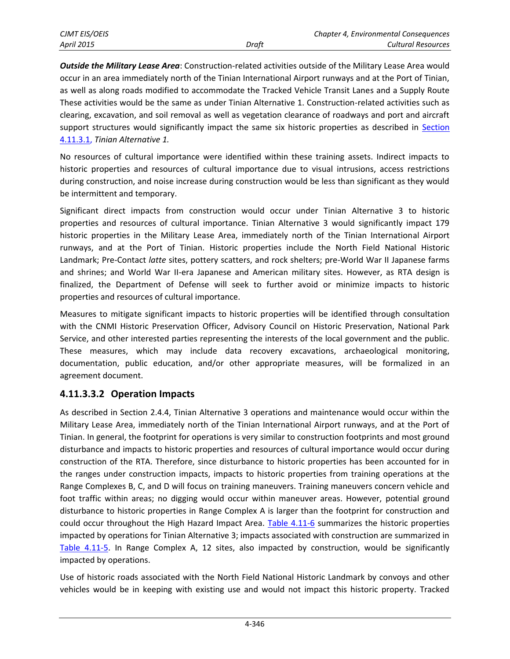| CJMT EIS/OEIS     |       | Chapter 4, Environmental Consequences |
|-------------------|-------|---------------------------------------|
| <b>April 2015</b> | Draft | Cultural Resources                    |

*Outside the Military Lease Area*: Construction-related activities outside of the Military Lease Area would occur in an area immediately north of the Tinian International Airport runways and at the Port of Tinian, as well as along roads modified to accommodate the Tracked Vehicle Transit Lanes and a Supply Route These activities would be the same as under Tinian Alternative 1. Construction-related activities such as clearing, excavation, and soil removal as well as vegetation clearance of roadways and port and aircraft support structures would significantly impact the same six historic properties as described in Section [4.11.3.1,](#page-2-0) *Tinian Alternative 1.*

No resources of cultural importance were identified within these training assets. Indirect impacts to historic properties and resources of cultural importance due to visual intrusions, access restrictions during construction, and noise increase during construction would be less than significant as they would be intermittent and temporary.

Significant direct impacts from construction would occur under Tinian Alternative 3 to historic properties and resources of cultural importance. Tinian Alternative 3 would significantly impact 179 historic properties in the Military Lease Area, immediately north of the Tinian International Airport runways, and at the Port of Tinian. Historic properties include the North Field National Historic Landmark; Pre-Contact *latte* sites, pottery scatters, and rock shelters; pre-World War II Japanese farms and shrines; and World War II-era Japanese and American military sites. However, as RTA design is finalized, the Department of Defense will seek to further avoid or minimize impacts to historic properties and resources of cultural importance.

Measures to mitigate significant impacts to historic properties will be identified through consultation with the CNMI Historic Preservation Officer, Advisory Council on Historic Preservation, National Park Service, and other interested parties representing the interests of the local government and the public. These measures, which may include data recovery excavations, archaeological monitoring, documentation, public education, and/or other appropriate measures, will be formalized in an agreement document.

#### **4.11.3.3.2 Operation Impacts**

As described in Section 2.4.4, Tinian Alternative 3 operations and maintenance would occur within the Military Lease Area, immediately north of the Tinian International Airport runways, and at the Port of Tinian. In general, the footprint for operations is very similar to construction footprints and most ground disturbance and impacts to historic properties and resources of cultural importance would occur during construction of the RTA. Therefore, since disturbance to historic properties has been accounted for in the ranges under construction impacts, impacts to historic properties from training operations at the Range Complexes B, C, and D will focus on training maneuvers. Training maneuvers concern vehicle and foot traffic within areas; no digging would occur within maneuver areas. However, potential ground disturbance to historic properties in Range Complex A is larger than the footprint for construction and could occur throughout the High Hazard Impact Area. [Table 4.11-6](#page-20-0) summarizes the historic properties impacted by operations for Tinian Alternative 3; impacts associated with construction are summarized in [Table 4.11-5.](#page-17-0) In Range Complex A, 12 sites, also impacted by construction, would be significantly impacted by operations.

Use of historic roads associated with the North Field National Historic Landmark by convoys and other vehicles would be in keeping with existing use and would not impact this historic property. Tracked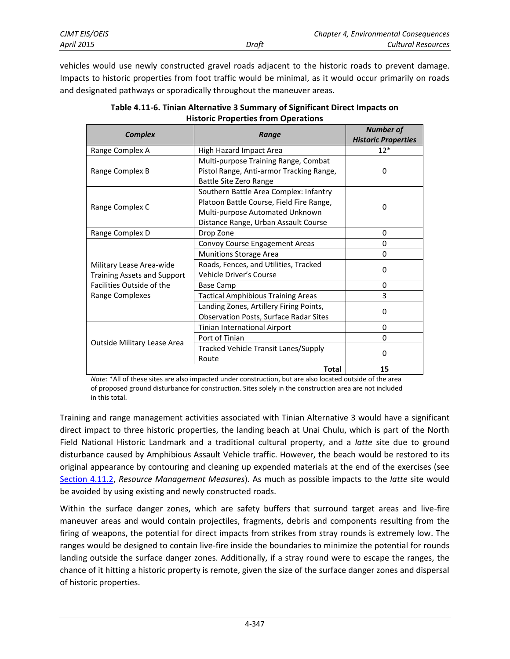vehicles would use newly constructed gravel roads adjacent to the historic roads to prevent damage. Impacts to historic properties from foot traffic would be minimal, as it would occur primarily on roads and designated pathways or sporadically throughout the maneuver areas.

<span id="page-20-0"></span>

| <b>Complex</b>                                                 | Range                                                                                                                                                         | <b>Number of</b><br><b>Historic Properties</b> |
|----------------------------------------------------------------|---------------------------------------------------------------------------------------------------------------------------------------------------------------|------------------------------------------------|
| Range Complex A                                                | <b>High Hazard Impact Area</b>                                                                                                                                | $12*$                                          |
| Range Complex B                                                | Multi-purpose Training Range, Combat<br>Pistol Range, Anti-armor Tracking Range,<br>Battle Site Zero Range                                                    | 0                                              |
| Range Complex C                                                | Southern Battle Area Complex: Infantry<br>Platoon Battle Course, Field Fire Range,<br>Multi-purpose Automated Unknown<br>Distance Range, Urban Assault Course | 0                                              |
| Range Complex D                                                | Drop Zone                                                                                                                                                     | $\Omega$                                       |
|                                                                | Convoy Course Engagement Areas                                                                                                                                | 0                                              |
|                                                                | <b>Munitions Storage Area</b>                                                                                                                                 | $\Omega$                                       |
| Military Lease Area-wide<br><b>Training Assets and Support</b> | Roads, Fences, and Utilities, Tracked<br>Vehicle Driver's Course                                                                                              | 0                                              |
| Facilities Outside of the                                      | Base Camp                                                                                                                                                     | $\Omega$                                       |
| Range Complexes                                                | <b>Tactical Amphibious Training Areas</b>                                                                                                                     | 3                                              |
|                                                                | Landing Zones, Artillery Firing Points,<br><b>Observation Posts, Surface Radar Sites</b>                                                                      | 0                                              |
|                                                                | Tinian International Airport                                                                                                                                  | $\Omega$                                       |
|                                                                | Port of Tinian                                                                                                                                                | 0                                              |
| Outside Military Lease Area                                    | Tracked Vehicle Transit Lanes/Supply<br>Route                                                                                                                 | $\Omega$                                       |
|                                                                | Total                                                                                                                                                         | 15                                             |

| Table 4.11-6. Tinian Alternative 3 Summary of Significant Direct Impacts on |
|-----------------------------------------------------------------------------|
| <b>Historic Properties from Operations</b>                                  |

*Note:* \*All of these sites are also impacted under construction, but are also located outside of the area of proposed ground disturbance for construction. Sites solely in the construction area are not included in this total.

Training and range management activities associated with Tinian Alternative 3 would have a significant direct impact to three historic properties, the landing beach at Unai Chulu, which is part of the North Field National Historic Landmark and a traditional cultural property, and a *latte* site due to ground disturbance caused by Amphibious Assault Vehicle traffic. However, the beach would be restored to its original appearance by contouring and cleaning up expended materials at the end of the exercises (see [Section 4.11.2,](#page-1-0) *Resource Management Measures*). As much as possible impacts to the *latte* site would be avoided by using existing and newly constructed roads.

Within the surface danger zones, which are safety buffers that surround target areas and live-fire maneuver areas and would contain projectiles, fragments, debris and components resulting from the firing of weapons, the potential for direct impacts from strikes from stray rounds is extremely low. The ranges would be designed to contain live-fire inside the boundaries to minimize the potential for rounds landing outside the surface danger zones. Additionally, if a stray round were to escape the ranges, the chance of it hitting a historic property is remote, given the size of the surface danger zones and dispersal of historic properties.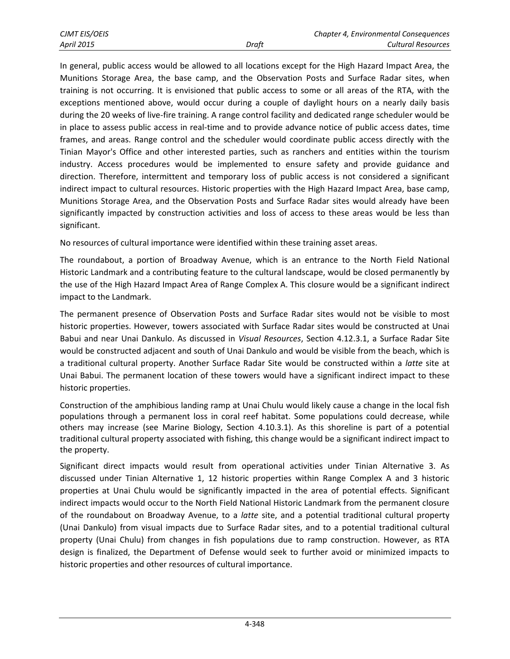In general, public access would be allowed to all locations except for the High Hazard Impact Area, the Munitions Storage Area, the base camp, and the Observation Posts and Surface Radar sites, when training is not occurring. It is envisioned that public access to some or all areas of the RTA, with the exceptions mentioned above, would occur during a couple of daylight hours on a nearly daily basis during the 20 weeks of live-fire training. A range control facility and dedicated range scheduler would be in place to assess public access in real-time and to provide advance notice of public access dates, time frames, and areas. Range control and the scheduler would coordinate public access directly with the Tinian Mayor's Office and other interested parties, such as ranchers and entities within the tourism industry. Access procedures would be implemented to ensure safety and provide guidance and direction. Therefore, intermittent and temporary loss of public access is not considered a significant indirect impact to cultural resources. Historic properties with the High Hazard Impact Area, base camp, Munitions Storage Area, and the Observation Posts and Surface Radar sites would already have been significantly impacted by construction activities and loss of access to these areas would be less than significant.

No resources of cultural importance were identified within these training asset areas.

The roundabout, a portion of Broadway Avenue, which is an entrance to the North Field National Historic Landmark and a contributing feature to the cultural landscape, would be closed permanently by the use of the High Hazard Impact Area of Range Complex A. This closure would be a significant indirect impact to the Landmark.

The permanent presence of Observation Posts and Surface Radar sites would not be visible to most historic properties. However, towers associated with Surface Radar sites would be constructed at Unai Babui and near Unai Dankulo. As discussed in *Visual Resources*, Section 4.12.3.1, a Surface Radar Site would be constructed adjacent and south of Unai Dankulo and would be visible from the beach, which is a traditional cultural property. Another Surface Radar Site would be constructed within a *latte* site at Unai Babui. The permanent location of these towers would have a significant indirect impact to these historic properties.

Construction of the amphibious landing ramp at Unai Chulu would likely cause a change in the local fish populations through a permanent loss in coral reef habitat. Some populations could decrease, while others may increase (see Marine Biology, Section 4.10.3.1). As this shoreline is part of a potential traditional cultural property associated with fishing, this change would be a significant indirect impact to the property.

Significant direct impacts would result from operational activities under Tinian Alternative 3. As discussed under Tinian Alternative 1, 12 historic properties within Range Complex A and 3 historic properties at Unai Chulu would be significantly impacted in the area of potential effects. Significant indirect impacts would occur to the North Field National Historic Landmark from the permanent closure of the roundabout on Broadway Avenue, to a *latte* site, and a potential traditional cultural property (Unai Dankulo) from visual impacts due to Surface Radar sites, and to a potential traditional cultural property (Unai Chulu) from changes in fish populations due to ramp construction. However, as RTA design is finalized, the Department of Defense would seek to further avoid or minimized impacts to historic properties and other resources of cultural importance.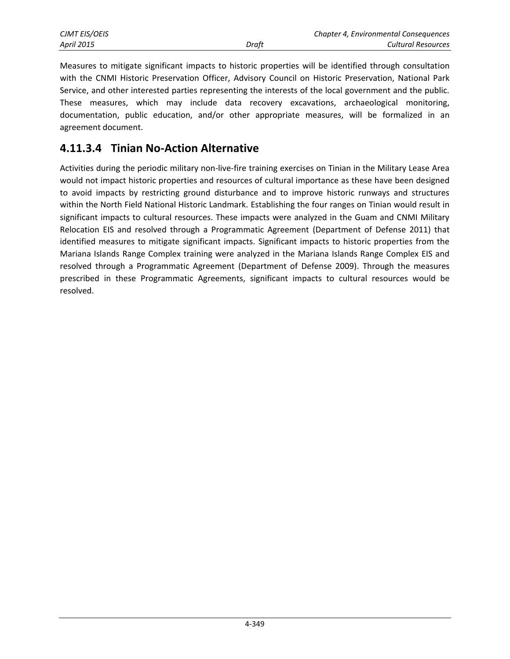| <b>CJMT EIS/OEIS</b> |       | <b>Chapter 4, Environmental Consequences</b> |
|----------------------|-------|----------------------------------------------|
| <b>April 2015</b>    | Draft | Cultural Resources                           |

Measures to mitigate significant impacts to historic properties will be identified through consultation with the CNMI Historic Preservation Officer, Advisory Council on Historic Preservation, National Park Service, and other interested parties representing the interests of the local government and the public. These measures, which may include data recovery excavations, archaeological monitoring, documentation, public education, and/or other appropriate measures, will be formalized in an agreement document.

## **4.11.3.4 Tinian No-Action Alternative**

Activities during the periodic military non-live-fire training exercises on Tinian in the Military Lease Area would not impact historic properties and resources of cultural importance as these have been designed to avoid impacts by restricting ground disturbance and to improve historic runways and structures within the North Field National Historic Landmark. Establishing the four ranges on Tinian would result in significant impacts to cultural resources. These impacts were analyzed in the Guam and CNMI Military Relocation EIS and resolved through a Programmatic Agreement (Department of Defense 2011) that identified measures to mitigate significant impacts. Significant impacts to historic properties from the Mariana Islands Range Complex training were analyzed in the Mariana Islands Range Complex EIS and resolved through a Programmatic Agreement (Department of Defense 2009). Through the measures prescribed in these Programmatic Agreements, significant impacts to cultural resources would be resolved.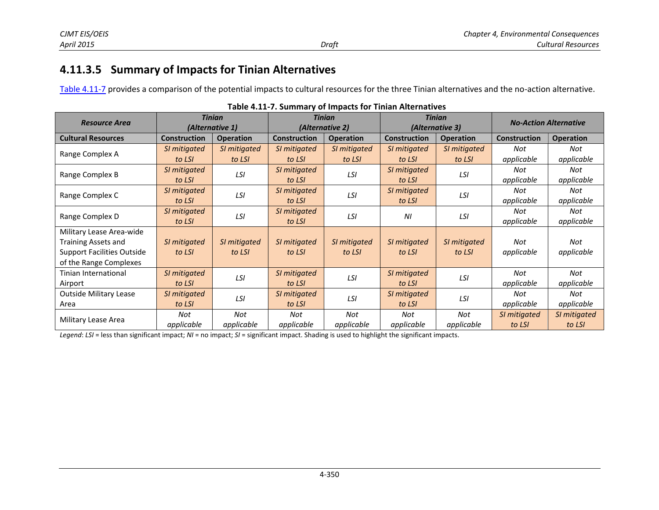# **4.11.3.5 Summary of Impacts for Tinian Alternatives**

[Table 4.11-7 p](#page-23-0)rovides a comparison of the potential impacts to cultural resources for the three Tinian alternatives and the no-action alternative.

<span id="page-23-0"></span>

|                               |                     | <b>Tinian</b>    | <b>Tinian</b>       |                  | <b>Tinian</b>       |                  |                              |                  |
|-------------------------------|---------------------|------------------|---------------------|------------------|---------------------|------------------|------------------------------|------------------|
| <b>Resource Area</b>          |                     | (Alternative 1)  | (Alternative 2)     |                  | (Alternative 3)     |                  | <b>No-Action Alternative</b> |                  |
| <b>Cultural Resources</b>     | <b>Construction</b> | <b>Operation</b> | <b>Construction</b> | <b>Operation</b> | <b>Construction</b> | <b>Operation</b> | <b>Construction</b>          | <b>Operation</b> |
| Range Complex A               | SI mitigated        | SI mitigated     | SI mitigated        | SI mitigated     | SI mitigated        | SI mitigated     | Not                          | Not              |
|                               | to LSI              | to LSI           | to LSI              | to LSI           | to LSI              | to LSI           | applicable                   | applicable       |
| Range Complex B               | SI mitigated        | LSI              | SI mitigated        | LSI              | SI mitigated        | LSI              | Not                          | Not              |
|                               | to LSI              |                  | to LSI              |                  | to LSI              |                  | applicable                   | applicable       |
|                               | SI mitigated        | LSI              | SI mitigated        | LSI              | SI mitigated        | LSI              | Not                          | Not              |
| Range Complex C               | to LSI              |                  | to LSI              |                  | to LSI              |                  | applicable                   | applicable       |
| Range Complex D               | SI mitigated        | LSI              | SI mitigated        | LSI              | ΝI                  | LSI              | Not                          | Not              |
|                               | to LSI              |                  | to LSI              |                  |                     |                  | applicable                   | applicable       |
| Military Lease Area-wide      |                     |                  |                     |                  |                     |                  |                              |                  |
| Training Assets and           | SI mitigated        | SI mitigated     | SI mitigated        | SI mitigated     | SI mitigated        | SI mitigated     | Not                          | Not              |
| Support Facilities Outside    | to LSI              | to LSI           | to LSI              | to LSI           | to LSI              | to LSI           | applicable                   | applicable       |
| of the Range Complexes        |                     |                  |                     |                  |                     |                  |                              |                  |
| Tinian International          | SI mitigated        | LSI              | SI mitigated        | LSI              | SI mitigated        | LSI              | Not                          | Not              |
| Airport                       | to LSI              |                  | to LSI              |                  | to LSI              |                  | applicable                   | applicable       |
| <b>Outside Military Lease</b> | SI mitigated        | LSI              | SI mitigated        | LSI              | SI mitigated        | LSI              | Not                          | Not              |
| Area                          | to LSI              |                  | to LSI              | to LSI           |                     | applicable       | applicable                   |                  |
| Military Lease Area           | Not                 | Not              | Not                 | Not              | Not                 | Not              | SI mitigated                 | SI mitigated     |
|                               | applicable          | applicable       | applicable          | applicable       | applicable          | applicable       | to LSI                       | to LSI           |

*Legend*: *LSI* = less than significant impact; *NI* = no impact; *SI* = significant impact. Shading is used to highlight the significant impacts.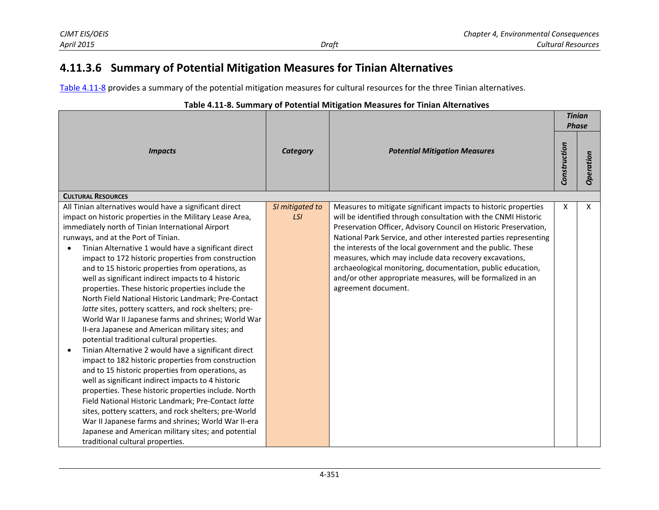# **4.11.3.6 Summary of Potential Mitigation Measures for Tinian Alternatives**

[Table 4.11-8 p](#page-24-0)rovides a summary of the potential mitigation measures for cultural resources for the three Tinian alternatives.

#### <span id="page-24-0"></span>*Impacts Category Potential Mitigation Measures Tinian Phase Construction Operation* **CULTURAL RESOURCES** All Tinian alternatives would have a significant direct impact on historic properties in the Military Lease Area, immediately north of Tinian International Airport runways, and at the Port of Tinian. Tinian Alternative 1 would have a significant direct impact to 172 historic properties from construction and to 15 historic properties from operations, as well as significant indirect impacts to 4 historic properties. These historic properties include the North Field National Historic Landmark; Pre-Contact *latte* sites, pottery scatters, and rock shelters; pre-World War II Japanese farms and shrines; World War II-era Japanese and American military sites; and potential traditional cultural properties. • Tinian Alternative 2 would have a significant direct impact to 182 historic properties from construction and to 15 historic properties from operations, as well as significant indirect impacts to 4 historic properties. These historic properties include. North Field National Historic Landmark; Pre-Contact *latte* sites, pottery scatters, and rock shelters; pre-World War II Japanese farms and shrines; World War II-era Japanese and American military sites; and potential traditional cultural properties. *SI mitigated to LSI* Measures to mitigate significant impacts to historic properties will be identified through consultation with the CNMI Historic Preservation Officer, Advisory Council on Historic Preservation, National Park Service, and other interested parties representing the interests of the local government and the public. These measures, which may include data recovery excavations, archaeological monitoring, documentation, public education, and/or other appropriate measures, will be formalized in an agreement document.  $X \mid X$

#### **Table 4.11-8. Summary of Potential Mitigation Measures for Tinian Alternatives**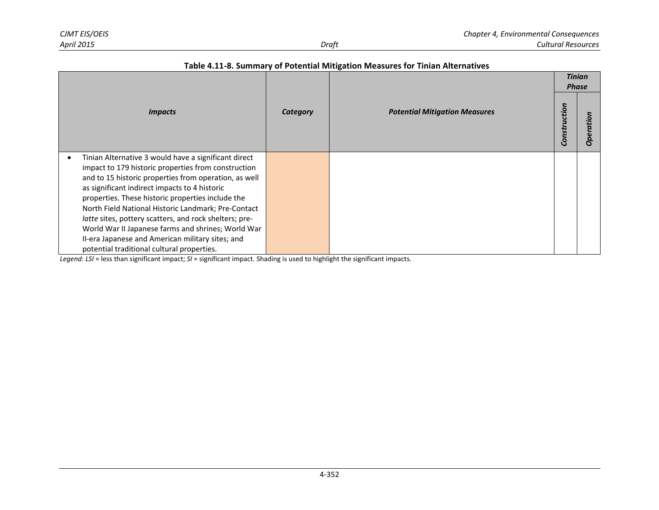|                                                        |          |                                      | <b>Tinian</b><br><b>Phase</b> |                    |
|--------------------------------------------------------|----------|--------------------------------------|-------------------------------|--------------------|
| <i><b>Impacts</b></i>                                  | Category | <b>Potential Mitigation Measures</b> | Construction                  | tion<br><b>Ope</b> |
| Tinian Alternative 3 would have a significant direct   |          |                                      |                               |                    |
| impact to 179 historic properties from construction    |          |                                      |                               |                    |
| and to 15 historic properties from operation, as well  |          |                                      |                               |                    |
| as significant indirect impacts to 4 historic          |          |                                      |                               |                    |
| properties. These historic properties include the      |          |                                      |                               |                    |
| North Field National Historic Landmark; Pre-Contact    |          |                                      |                               |                    |
| latte sites, pottery scatters, and rock shelters; pre- |          |                                      |                               |                    |
| World War II Japanese farms and shrines; World War     |          |                                      |                               |                    |
| II-era Japanese and American military sites; and       |          |                                      |                               |                    |
| potential traditional cultural properties.             |          |                                      |                               |                    |

*Legend*: *LSI* = less than significant impact; *SI* = significant impact. Shading is used to highlight the significant impacts.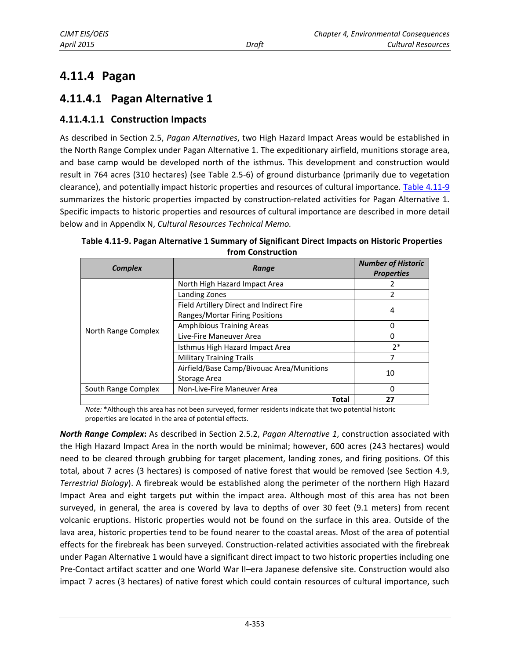# **4.11.4 Pagan**

# <span id="page-26-1"></span>**4.11.4.1 Pagan Alternative 1**

#### **4.11.4.1.1 Construction Impacts**

As described in Section 2.5, *Pagan Alternatives*, two High Hazard Impact Areas would be established in the North Range Complex under Pagan Alternative 1. The expeditionary airfield, munitions storage area, and base camp would be developed north of the isthmus. This development and construction would result in 764 acres (310 hectares) (see Table 2.5-6) of ground disturbance (primarily due to vegetation clearance), and potentially impact historic properties and resources of cultural importance. [Table 4.11-9](#page-26-0) summarizes the historic properties impacted by construction-related activities for Pagan Alternative 1. Specific impacts to historic properties and resources of cultural importance are described in more detail below and in Appendix N, *Cultural Resources Technical Memo.* 

| <b>Complex</b>      | Range                                     | <b>Number of Historic</b><br><b>Properties</b> |  |
|---------------------|-------------------------------------------|------------------------------------------------|--|
|                     | North High Hazard Impact Area             |                                                |  |
|                     | Landing Zones                             | 2                                              |  |
|                     | Field Artillery Direct and Indirect Fire  | 4                                              |  |
|                     | Ranges/Mortar Firing Positions            |                                                |  |
| North Range Complex | <b>Amphibious Training Areas</b>          | 0                                              |  |
|                     | Live-Fire Maneuver Area                   | 0                                              |  |
|                     | Isthmus High Hazard Impact Area           | $2*$                                           |  |
|                     | <b>Military Training Trails</b>           | 7                                              |  |
|                     | Airfield/Base Camp/Bivouac Area/Munitions | 10                                             |  |
|                     | Storage Area                              |                                                |  |
| South Range Complex | Non-Live-Fire Maneuver Area               | 0                                              |  |
|                     | <b>Total</b>                              | 27                                             |  |

<span id="page-26-0"></span>**Table 4.11-9. Pagan Alternative 1 Summary of Significant Direct Impacts on Historic Properties from Construction** 

*Note:* \*Although this area has not been surveyed, former residents indicate that two potential historic properties are located in the area of potential effects.

*North Range Complex***:** As described in Section 2.5.2, *Pagan Alternative 1*, construction associated with the High Hazard Impact Area in the north would be minimal; however, 600 acres (243 hectares) would need to be cleared through grubbing for target placement, landing zones, and firing positions. Of this total, about 7 acres (3 hectares) is composed of native forest that would be removed (see Section 4.9, *Terrestrial Biology*). A firebreak would be established along the perimeter of the northern High Hazard Impact Area and eight targets put within the impact area. Although most of this area has not been surveyed, in general, the area is covered by lava to depths of over 30 feet (9.1 meters) from recent volcanic eruptions. Historic properties would not be found on the surface in this area. Outside of the lava area, historic properties tend to be found nearer to the coastal areas. Most of the area of potential effects for the firebreak has been surveyed. Construction-related activities associated with the firebreak under Pagan Alternative 1 would have a significant direct impact to two historic properties including one Pre-Contact artifact scatter and one World War II–era Japanese defensive site. Construction would also impact 7 acres (3 hectares) of native forest which could contain resources of cultural importance, such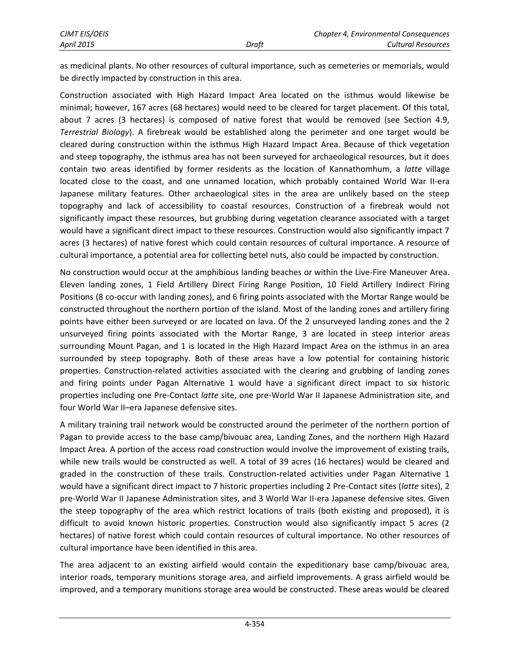as medicinal plants. No other resources of cultural importance, such as cemeteries or memorials, would be directly impacted by construction in this area.

Construction associated with High Hazard Impact Area located on the isthmus would likewise be minimal; however, 167 acres (68 hectares) would need to be cleared for target placement. Of this total, about 7 acres (3 hectares) is composed of native forest that would be removed (see Section 4.9, *Terrestrial Biology*). A firebreak would be established along the perimeter and one target would be cleared during construction within the isthmus High Hazard Impact Area. Because of thick vegetation and steep topography, the isthmus area has not been surveyed for archaeological resources, but it does contain two areas identified by former residents as the location of Kannathomhum, a *latte* village located close to the coast, and one unnamed location, which probably contained World War II-era Japanese military features. Other archaeological sites in the area are unlikely based on the steep topography and lack of accessibility to coastal resources. Construction of a firebreak would not significantly impact these resources, but grubbing during vegetation clearance associated with a target would have a significant direct impact to these resources. Construction would also significantly impact 7 acres (3 hectares) of native forest which could contain resources of cultural importance. A resource of cultural importance, a potential area for collecting betel nuts, also could be impacted by construction.

No construction would occur at the amphibious landing beaches or within the Live-Fire Maneuver Area. Eleven landing zones, 1 Field Artillery Direct Firing Range Position, 10 Field Artillery Indirect Firing Positions (8 co-occur with landing zones), and 6 firing points associated with the Mortar Range would be constructed throughout the northern portion of the island. Most of the landing zones and artillery firing points have either been surveyed or are located on lava. Of the 2 unsurveyed landing zones and the 2 unsurveyed firing points associated with the Mortar Range, 3 are located in steep interior areas surrounding Mount Pagan, and 1 is located in the High Hazard Impact Area on the isthmus in an area surrounded by steep topography. Both of these areas have a low potential for containing historic properties. Construction-related activities associated with the clearing and grubbing of landing zones and firing points under Pagan Alternative 1 would have a significant direct impact to six historic properties including one Pre-Contact *latte* site, one pre-World War II Japanese Administration site, and four World War II–era Japanese defensive sites.

A military training trail network would be constructed around the perimeter of the northern portion of Pagan to provide access to the base camp/bivouac area, Landing Zones, and the northern High Hazard Impact Area. A portion of the access road construction would involve the improvement of existing trails, while new trails would be constructed as well. A total of 39 acres (16 hectares) would be cleared and graded in the construction of these trails. Construction-related activities under Pagan Alternative 1 would have a significant direct impact to 7 historic properties including 2 Pre-Contact sites (*latte* sites), 2 pre-World War II Japanese Administration sites, and 3 World War II-era Japanese defensive sites. Given the steep topography of the area which restrict locations of trails (both existing and proposed), it is difficult to avoid known historic properties. Construction would also significantly impact 5 acres (2 hectares) of native forest which could contain resources of cultural importance. No other resources of cultural importance have been identified in this area.

The area adjacent to an existing airfield would contain the expeditionary base camp/bivouac area, interior roads, temporary munitions storage area, and airfield improvements. A grass airfield would be improved, and a temporary munitions storage area would be constructed. These areas would be cleared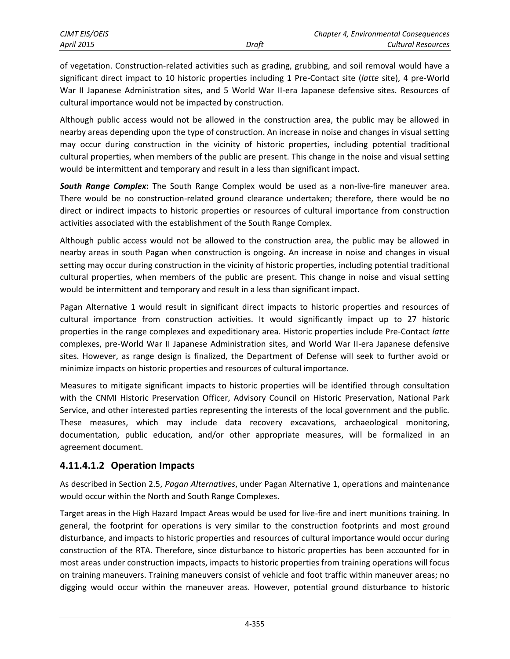of vegetation. Construction-related activities such as grading, grubbing, and soil removal would have a significant direct impact to 10 historic properties including 1 Pre-Contact site (*latte* site), 4 pre-World War II Japanese Administration sites, and 5 World War II-era Japanese defensive sites. Resources of cultural importance would not be impacted by construction.

Although public access would not be allowed in the construction area, the public may be allowed in nearby areas depending upon the type of construction. An increase in noise and changes in visual setting may occur during construction in the vicinity of historic properties, including potential traditional cultural properties, when members of the public are present. This change in the noise and visual setting would be intermittent and temporary and result in a less than significant impact.

*South Range Complex***:** The South Range Complex would be used as a non-live-fire maneuver area. There would be no construction-related ground clearance undertaken; therefore, there would be no direct or indirect impacts to historic properties or resources of cultural importance from construction activities associated with the establishment of the South Range Complex.

Although public access would not be allowed to the construction area, the public may be allowed in nearby areas in south Pagan when construction is ongoing. An increase in noise and changes in visual setting may occur during construction in the vicinity of historic properties, including potential traditional cultural properties, when members of the public are present. This change in noise and visual setting would be intermittent and temporary and result in a less than significant impact.

Pagan Alternative 1 would result in significant direct impacts to historic properties and resources of cultural importance from construction activities. It would significantly impact up to 27 historic properties in the range complexes and expeditionary area. Historic properties include Pre-Contact *latte* complexes, pre-World War II Japanese Administration sites, and World War II-era Japanese defensive sites. However, as range design is finalized, the Department of Defense will seek to further avoid or minimize impacts on historic properties and resources of cultural importance.

Measures to mitigate significant impacts to historic properties will be identified through consultation with the CNMI Historic Preservation Officer, Advisory Council on Historic Preservation, National Park Service, and other interested parties representing the interests of the local government and the public. These measures, which may include data recovery excavations, archaeological monitoring, documentation, public education, and/or other appropriate measures, will be formalized in an agreement document.

#### **4.11.4.1.2 Operation Impacts**

As described in Section 2.5, *Pagan Alternatives*, under Pagan Alternative 1, operations and maintenance would occur within the North and South Range Complexes.

Target areas in the High Hazard Impact Areas would be used for live-fire and inert munitions training. In general, the footprint for operations is very similar to the construction footprints and most ground disturbance, and impacts to historic properties and resources of cultural importance would occur during construction of the RTA. Therefore, since disturbance to historic properties has been accounted for in most areas under construction impacts, impacts to historic properties from training operations will focus on training maneuvers. Training maneuvers consist of vehicle and foot traffic within maneuver areas; no digging would occur within the maneuver areas. However, potential ground disturbance to historic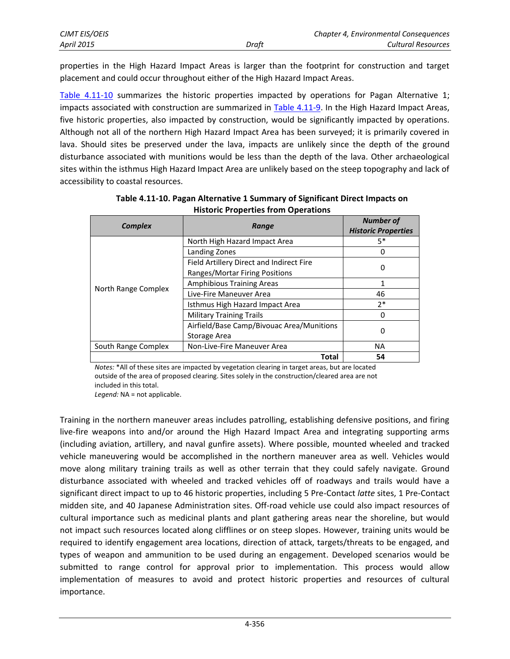| CJMT EIS/OEIS     |       | Chapter 4, Environmental Consequences |
|-------------------|-------|---------------------------------------|
| <b>April 2015</b> | Draft | Cultural Resources                    |

properties in the High Hazard Impact Areas is larger than the footprint for construction and target placement and could occur throughout either of the High Hazard Impact Areas.

[Table 4.11-10](#page-29-0) summarizes the historic properties impacted by operations for Pagan Alternative 1; impacts associated with construction are summarized in [Table 4.11-9.](#page-26-0) In the High Hazard Impact Areas, five historic properties, also impacted by construction, would be significantly impacted by operations. Although not all of the northern High Hazard Impact Area has been surveyed; it is primarily covered in lava. Should sites be preserved under the lava, impacts are unlikely since the depth of the ground disturbance associated with munitions would be less than the depth of the lava. Other archaeological sites within the isthmus High Hazard Impact Area are unlikely based on the steep topography and lack of accessibility to coastal resources.

<span id="page-29-0"></span>

| <b>Complex</b>      | Range                                     | <b>Number of</b><br><b>Historic Properties</b> |
|---------------------|-------------------------------------------|------------------------------------------------|
|                     | North High Hazard Impact Area             | $5*$                                           |
|                     | Landing Zones                             | 0                                              |
|                     | Field Artillery Direct and Indirect Fire  |                                                |
|                     | Ranges/Mortar Firing Positions            | 0                                              |
|                     | <b>Amphibious Training Areas</b>          | 1                                              |
| North Range Complex | Live-Fire Maneuver Area                   | 46                                             |
|                     | Isthmus High Hazard Impact Area           | $2*$                                           |
|                     | <b>Military Training Trails</b>           | 0                                              |
|                     | Airfield/Base Camp/Bivouac Area/Munitions |                                                |
|                     | Storage Area                              | 0                                              |
| South Range Complex | Non-Live-Fire Maneuver Area               | <b>NA</b>                                      |
|                     | Total                                     | 54                                             |

**Table 4.11-10. Pagan Alternative 1 Summary of Significant Direct Impacts on Historic Properties from Operations** 

*Notes:* \*All of these sites are impacted by vegetation clearing in target areas, but are located outside of the area of proposed clearing. Sites solely in the construction/cleared area are not included in this total.

*Legend:* NA = not applicable.

Training in the northern maneuver areas includes patrolling, establishing defensive positions, and firing live-fire weapons into and/or around the High Hazard Impact Area and integrating supporting arms (including aviation, artillery, and naval gunfire assets). Where possible, mounted wheeled and tracked vehicle maneuvering would be accomplished in the northern maneuver area as well. Vehicles would move along military training trails as well as other terrain that they could safely navigate. Ground disturbance associated with wheeled and tracked vehicles off of roadways and trails would have a significant direct impact to up to 46 historic properties, including 5 Pre-Contact *latte* sites, 1 Pre-Contact midden site, and 40 Japanese Administration sites. Off-road vehicle use could also impact resources of cultural importance such as medicinal plants and plant gathering areas near the shoreline, but would not impact such resources located along clifflines or on steep slopes. However, training units would be required to identify engagement area locations, direction of attack, targets/threats to be engaged, and types of weapon and ammunition to be used during an engagement. Developed scenarios would be submitted to range control for approval prior to implementation. This process would allow implementation of measures to avoid and protect historic properties and resources of cultural importance.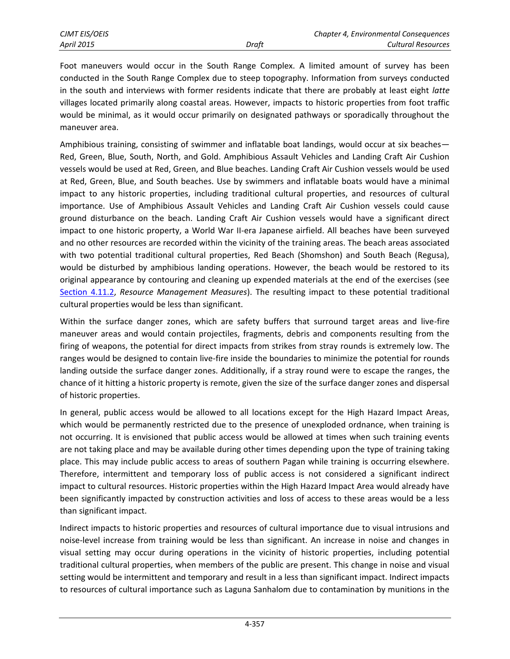Foot maneuvers would occur in the South Range Complex. A limited amount of survey has been conducted in the South Range Complex due to steep topography. Information from surveys conducted in the south and interviews with former residents indicate that there are probably at least eight *latte* villages located primarily along coastal areas. However, impacts to historic properties from foot traffic would be minimal, as it would occur primarily on designated pathways or sporadically throughout the maneuver area.

Amphibious training, consisting of swimmer and inflatable boat landings, would occur at six beaches— Red, Green, Blue, South, North, and Gold. Amphibious Assault Vehicles and Landing Craft Air Cushion vessels would be used at Red, Green, and Blue beaches. Landing Craft Air Cushion vessels would be used at Red, Green, Blue, and South beaches. Use by swimmers and inflatable boats would have a minimal impact to any historic properties, including traditional cultural properties, and resources of cultural importance. Use of Amphibious Assault Vehicles and Landing Craft Air Cushion vessels could cause ground disturbance on the beach. Landing Craft Air Cushion vessels would have a significant direct impact to one historic property, a World War II-era Japanese airfield. All beaches have been surveyed and no other resources are recorded within the vicinity of the training areas. The beach areas associated with two potential traditional cultural properties, Red Beach (Shomshon) and South Beach (Regusa), would be disturbed by amphibious landing operations. However, the beach would be restored to its original appearance by contouring and cleaning up expended materials at the end of the exercises (see [Section 4.11.2,](#page-1-0) *Resource Management Measures*). The resulting impact to these potential traditional cultural properties would be less than significant.

Within the surface danger zones, which are safety buffers that surround target areas and live-fire maneuver areas and would contain projectiles, fragments, debris and components resulting from the firing of weapons, the potential for direct impacts from strikes from stray rounds is extremely low. The ranges would be designed to contain live-fire inside the boundaries to minimize the potential for rounds landing outside the surface danger zones. Additionally, if a stray round were to escape the ranges, the chance of it hitting a historic property is remote, given the size of the surface danger zones and dispersal of historic properties.

In general, public access would be allowed to all locations except for the High Hazard Impact Areas, which would be permanently restricted due to the presence of unexploded ordnance, when training is not occurring. It is envisioned that public access would be allowed at times when such training events are not taking place and may be available during other times depending upon the type of training taking place. This may include public access to areas of southern Pagan while training is occurring elsewhere. Therefore, intermittent and temporary loss of public access is not considered a significant indirect impact to cultural resources. Historic properties within the High Hazard Impact Area would already have been significantly impacted by construction activities and loss of access to these areas would be a less than significant impact.

Indirect impacts to historic properties and resources of cultural importance due to visual intrusions and noise-level increase from training would be less than significant. An increase in noise and changes in visual setting may occur during operations in the vicinity of historic properties, including potential traditional cultural properties, when members of the public are present. This change in noise and visual setting would be intermittent and temporary and result in a less than significant impact. Indirect impacts to resources of cultural importance such as Laguna Sanhalom due to contamination by munitions in the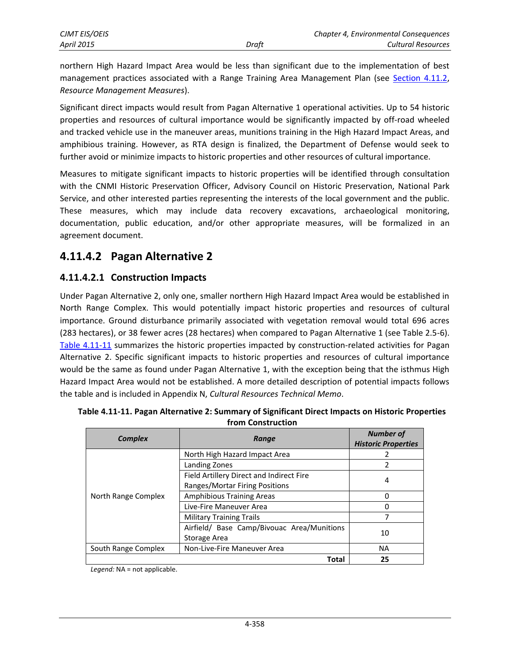northern High Hazard Impact Area would be less than significant due to the implementation of best management practices associated with a Range Training Area Management Plan (see [Section 4.11.2,](#page-1-0) *Resource Management Measures*).

Significant direct impacts would result from Pagan Alternative 1 operational activities. Up to 54 historic properties and resources of cultural importance would be significantly impacted by off-road wheeled and tracked vehicle use in the maneuver areas, munitions training in the High Hazard Impact Areas, and amphibious training. However, as RTA design is finalized, the Department of Defense would seek to further avoid or minimize impacts to historic properties and other resources of cultural importance.

Measures to mitigate significant impacts to historic properties will be identified through consultation with the CNMI Historic Preservation Officer, Advisory Council on Historic Preservation, National Park Service, and other interested parties representing the interests of the local government and the public. These measures, which may include data recovery excavations, archaeological monitoring, documentation, public education, and/or other appropriate measures, will be formalized in an agreement document.

# **4.11.4.2 Pagan Alternative 2**

## **4.11.4.2.1 Construction Impacts**

Under Pagan Alternative 2, only one, smaller northern High Hazard Impact Area would be established in North Range Complex. This would potentially impact historic properties and resources of cultural importance. Ground disturbance primarily associated with vegetation removal would total 696 acres (283 hectares), or 38 fewer acres (28 hectares) when compared to Pagan Alternative 1 (see Table 2.5-6). [Table 4.11-11](#page-31-0) summarizes the historic properties impacted by construction-related activities for Pagan Alternative 2. Specific significant impacts to historic properties and resources of cultural importance would be the same as found under Pagan Alternative 1, with the exception being that the isthmus High Hazard Impact Area would not be established. A more detailed description of potential impacts follows the table and is included in Appendix N, *Cultural Resources Technical Memo*.

| <b>Complex</b>      | Range                                      | <b>Number of</b><br><b>Historic Properties</b> |  |
|---------------------|--------------------------------------------|------------------------------------------------|--|
|                     | North High Hazard Impact Area              | 2                                              |  |
|                     | Landing Zones                              | 2                                              |  |
|                     | Field Artillery Direct and Indirect Fire   |                                                |  |
| North Range Complex | Ranges/Mortar Firing Positions             | 4                                              |  |
|                     | <b>Amphibious Training Areas</b>           | 0                                              |  |
|                     | Live-Fire Maneuver Area                    | 0                                              |  |
|                     | <b>Military Training Trails</b>            | 7                                              |  |
|                     | Airfield/ Base Camp/Bivouac Area/Munitions | 10                                             |  |
|                     | Storage Area                               |                                                |  |
| South Range Complex | Non-Live-Fire Maneuver Area                | <b>NA</b>                                      |  |
|                     | Total                                      | 25                                             |  |

<span id="page-31-0"></span>

| Table 4.11-11. Pagan Alternative 2: Summary of Significant Direct Impacts on Historic Properties |
|--------------------------------------------------------------------------------------------------|
| from Construction                                                                                |

*Legend:* NA = not applicable.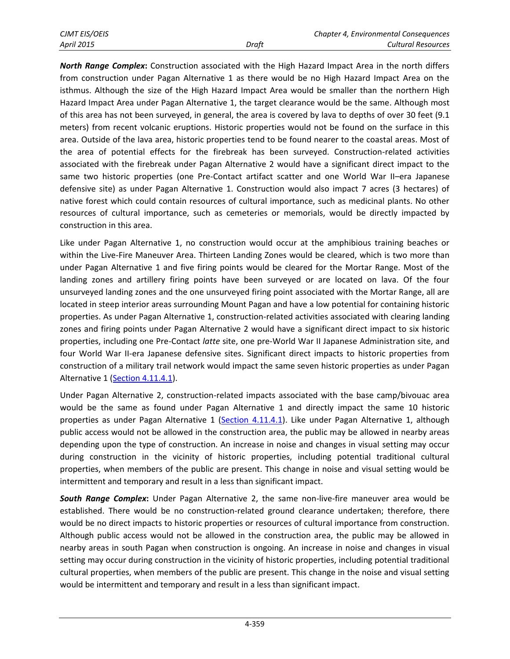| CJMT EIS/OEIS |       | Chapter 4, Environmental Consequences |
|---------------|-------|---------------------------------------|
| April 2015    | Draft | <b>Cultural Resources</b>             |

*North Range Complex***:** Construction associated with the High Hazard Impact Area in the north differs from construction under Pagan Alternative 1 as there would be no High Hazard Impact Area on the isthmus. Although the size of the High Hazard Impact Area would be smaller than the northern High Hazard Impact Area under Pagan Alternative 1, the target clearance would be the same. Although most of this area has not been surveyed, in general, the area is covered by lava to depths of over 30 feet (9.1 meters) from recent volcanic eruptions. Historic properties would not be found on the surface in this area. Outside of the lava area, historic properties tend to be found nearer to the coastal areas. Most of the area of potential effects for the firebreak has been surveyed. Construction-related activities associated with the firebreak under Pagan Alternative 2 would have a significant direct impact to the same two historic properties (one Pre-Contact artifact scatter and one World War II–era Japanese defensive site) as under Pagan Alternative 1. Construction would also impact 7 acres (3 hectares) of native forest which could contain resources of cultural importance, such as medicinal plants. No other resources of cultural importance, such as cemeteries or memorials, would be directly impacted by construction in this area.

Like under Pagan Alternative 1, no construction would occur at the amphibious training beaches or within the Live-Fire Maneuver Area. Thirteen Landing Zones would be cleared, which is two more than under Pagan Alternative 1 and five firing points would be cleared for the Mortar Range. Most of the landing zones and artillery firing points have been surveyed or are located on lava. Of the four unsurveyed landing zones and the one unsurveyed firing point associated with the Mortar Range, all are located in steep interior areas surrounding Mount Pagan and have a low potential for containing historic properties. As under Pagan Alternative 1, construction-related activities associated with clearing landing zones and firing points under Pagan Alternative 2 would have a significant direct impact to six historic properties, including one Pre-Contact *latte* site, one pre-World War II Japanese Administration site, and four World War II-era Japanese defensive sites. Significant direct impacts to historic properties from construction of a military trail network would impact the same seven historic properties as under Pagan Alternative 1 [\(Section 4.11.4.1\)](#page-26-1).

Under Pagan Alternative 2, construction-related impacts associated with the base camp/bivouac area would be the same as found under Pagan Alternative 1 and directly impact the same 10 historic properties as under Pagan Alternative 1 [\(Section 4.11.4.1\)](#page-26-1). Like under Pagan Alternative 1, although public access would not be allowed in the construction area, the public may be allowed in nearby areas depending upon the type of construction. An increase in noise and changes in visual setting may occur during construction in the vicinity of historic properties, including potential traditional cultural properties, when members of the public are present. This change in noise and visual setting would be intermittent and temporary and result in a less than significant impact.

*South Range Complex***:** Under Pagan Alternative 2, the same non-live-fire maneuver area would be established. There would be no construction-related ground clearance undertaken; therefore, there would be no direct impacts to historic properties or resources of cultural importance from construction. Although public access would not be allowed in the construction area, the public may be allowed in nearby areas in south Pagan when construction is ongoing. An increase in noise and changes in visual setting may occur during construction in the vicinity of historic properties, including potential traditional cultural properties, when members of the public are present. This change in the noise and visual setting would be intermittent and temporary and result in a less than significant impact.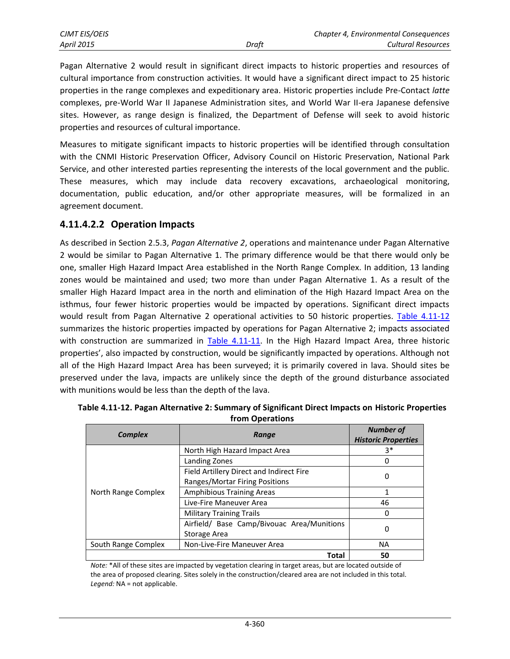| <b>CIMT EIS/OEIS</b> |       | Chapter 4, Environmental Consequences |
|----------------------|-------|---------------------------------------|
| <b>April 2015</b>    | Draft | Cultural Resources                    |

Pagan Alternative 2 would result in significant direct impacts to historic properties and resources of cultural importance from construction activities. It would have a significant direct impact to 25 historic properties in the range complexes and expeditionary area. Historic properties include Pre-Contact *latte* complexes, pre-World War II Japanese Administration sites, and World War II-era Japanese defensive sites. However, as range design is finalized, the Department of Defense will seek to avoid historic properties and resources of cultural importance.

Measures to mitigate significant impacts to historic properties will be identified through consultation with the CNMI Historic Preservation Officer, Advisory Council on Historic Preservation, National Park Service, and other interested parties representing the interests of the local government and the public. These measures, which may include data recovery excavations, archaeological monitoring, documentation, public education, and/or other appropriate measures, will be formalized in an agreement document.

#### **4.11.4.2.2 Operation Impacts**

As described in Section 2.5.3, *Pagan Alternative 2*, operations and maintenance under Pagan Alternative 2 would be similar to Pagan Alternative 1. The primary difference would be that there would only be one, smaller High Hazard Impact Area established in the North Range Complex. In addition, 13 landing zones would be maintained and used; two more than under Pagan Alternative 1. As a result of the smaller High Hazard Impact area in the north and elimination of the High Hazard Impact Area on the isthmus, four fewer historic properties would be impacted by operations. Significant direct impacts would result from Pagan Alternative 2 operational activities to 50 historic properties. [Table 4.11-12](#page-33-0) summarizes the historic properties impacted by operations for Pagan Alternative 2; impacts associated with construction are summarized in [Table 4.11-11.](#page-31-0) In the High Hazard Impact Area, three historic properties', also impacted by construction, would be significantly impacted by operations. Although not all of the High Hazard Impact Area has been surveyed; it is primarily covered in lava. Should sites be preserved under the lava, impacts are unlikely since the depth of the ground disturbance associated with munitions would be less than the depth of the lava.

| <b>Complex</b>      | Range                                      | <b>Number of</b><br><b>Historic Properties</b> |  |
|---------------------|--------------------------------------------|------------------------------------------------|--|
|                     | North High Hazard Impact Area              | $3*$                                           |  |
| North Range Complex | Landing Zones                              | 0                                              |  |
|                     | Field Artillery Direct and Indirect Fire   |                                                |  |
|                     | Ranges/Mortar Firing Positions             | 0                                              |  |
|                     | <b>Amphibious Training Areas</b>           | 1                                              |  |
|                     | Live-Fire Maneuver Area                    | 46                                             |  |
|                     | <b>Military Training Trails</b>            | 0                                              |  |
|                     | Airfield/ Base Camp/Bivouac Area/Munitions |                                                |  |
|                     | Storage Area                               | 0                                              |  |
| South Range Complex | Non-Live-Fire Maneuver Area                | <b>NA</b>                                      |  |
|                     | Total                                      | 50                                             |  |

<span id="page-33-0"></span>

| Table 4.11-12. Pagan Alternative 2: Summary of Significant Direct Impacts on Historic Properties |
|--------------------------------------------------------------------------------------------------|
| from Operations                                                                                  |

*Note:* \*All of these sites are impacted by vegetation clearing in target areas, but are located outside of the area of proposed clearing. Sites solely in the construction/cleared area are not included in this total. *Legend:* NA = not applicable.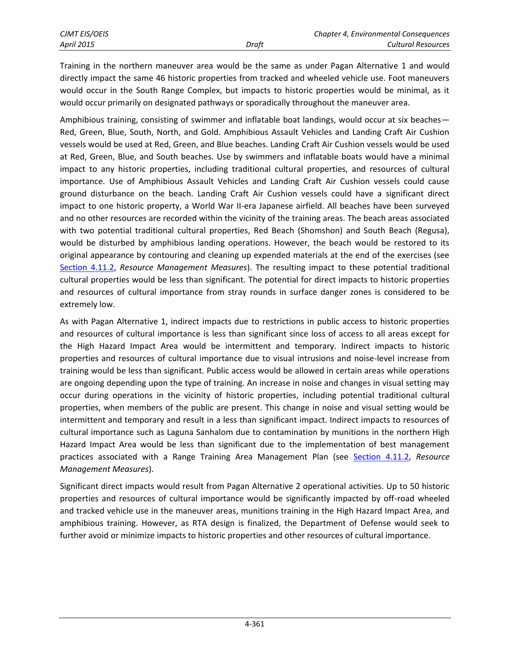Training in the northern maneuver area would be the same as under Pagan Alternative 1 and would directly impact the same 46 historic properties from tracked and wheeled vehicle use. Foot maneuvers would occur in the South Range Complex, but impacts to historic properties would be minimal, as it would occur primarily on designated pathways or sporadically throughout the maneuver area.

Amphibious training, consisting of swimmer and inflatable boat landings, would occur at six beaches— Red, Green, Blue, South, North, and Gold. Amphibious Assault Vehicles and Landing Craft Air Cushion vessels would be used at Red, Green, and Blue beaches. Landing Craft Air Cushion vessels would be used at Red, Green, Blue, and South beaches. Use by swimmers and inflatable boats would have a minimal impact to any historic properties, including traditional cultural properties, and resources of cultural importance. Use of Amphibious Assault Vehicles and Landing Craft Air Cushion vessels could cause ground disturbance on the beach. Landing Craft Air Cushion vessels could have a significant direct impact to one historic property, a World War II-era Japanese airfield. All beaches have been surveyed and no other resources are recorded within the vicinity of the training areas. The beach areas associated with two potential traditional cultural properties, Red Beach (Shomshon) and South Beach (Regusa), would be disturbed by amphibious landing operations. However, the beach would be restored to its original appearance by contouring and cleaning up expended materials at the end of the exercises (see [Section 4.11.2,](#page-1-0) *Resource Management Measures*). The resulting impact to these potential traditional cultural properties would be less than significant. The potential for direct impacts to historic properties and resources of cultural importance from stray rounds in surface danger zones is considered to be extremely low.

As with Pagan Alternative 1, indirect impacts due to restrictions in public access to historic properties and resources of cultural importance is less than significant since loss of access to all areas except for the High Hazard Impact Area would be intermittent and temporary. Indirect impacts to historic properties and resources of cultural importance due to visual intrusions and noise-level increase from training would be less than significant. Public access would be allowed in certain areas while operations are ongoing depending upon the type of training. An increase in noise and changes in visual setting may occur during operations in the vicinity of historic properties, including potential traditional cultural properties, when members of the public are present. This change in noise and visual setting would be intermittent and temporary and result in a less than significant impact. Indirect impacts to resources of cultural importance such as Laguna Sanhalom due to contamination by munitions in the northern High Hazard Impact Area would be less than significant due to the implementation of best management practices associated with a Range Training Area Management Plan (see [Section 4.11.2,](#page-1-0) *Resource Management Measures*).

Significant direct impacts would result from Pagan Alternative 2 operational activities. Up to 50 historic properties and resources of cultural importance would be significantly impacted by off-road wheeled and tracked vehicle use in the maneuver areas, munitions training in the High Hazard Impact Area, and amphibious training. However, as RTA design is finalized, the Department of Defense would seek to further avoid or minimize impacts to historic properties and other resources of cultural importance.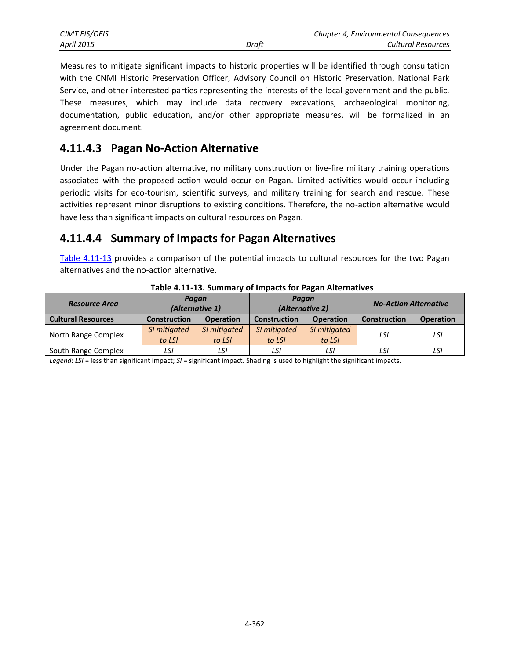| <b>CJMT EIS/OEIS</b> |       | Chapter 4, Environmental Consequences |
|----------------------|-------|---------------------------------------|
| <b>April 2015</b>    | Draft | Cultural Resources                    |

Measures to mitigate significant impacts to historic properties will be identified through consultation with the CNMI Historic Preservation Officer, Advisory Council on Historic Preservation, National Park Service, and other interested parties representing the interests of the local government and the public. These measures, which may include data recovery excavations, archaeological monitoring, documentation, public education, and/or other appropriate measures, will be formalized in an agreement document.

## **4.11.4.3 Pagan No-Action Alternative**

Under the Pagan no-action alternative, no military construction or live-fire military training operations associated with the proposed action would occur on Pagan. Limited activities would occur including periodic visits for eco-tourism, scientific surveys, and military training for search and rescue. These activities represent minor disruptions to existing conditions. Therefore, the no-action alternative would have less than significant impacts on cultural resources on Pagan.

## **4.11.4.4 Summary of Impacts for Pagan Alternatives**

[Table 4.11-13](#page-35-0) provides a comparison of the potential impacts to cultural resources for the two Pagan alternatives and the no-action alternative.

<span id="page-35-0"></span>

| <b>Resource Area</b>      | Pagan<br>(Alternative 1) |                        | Pagan<br>(Alternative 2) |                        | <b>No-Action Alternative</b> |                  |
|---------------------------|--------------------------|------------------------|--------------------------|------------------------|------------------------------|------------------|
| <b>Cultural Resources</b> | <b>Construction</b>      | <b>Operation</b>       | <b>Construction</b>      | <b>Operation</b>       | <b>Construction</b>          | <b>Operation</b> |
| North Range Complex       | SI mitigated<br>to LSI   | SI mitigated<br>to LSI | SI mitigated<br>to LSI   | SI mitigated<br>to LSI | LSI                          | LSI              |
| South Range Complex       | LSI                      | LSI                    | LSI                      | LSI                    | LSI                          | LSI              |

**Table 4.11-13. Summary of Impacts for Pagan Alternatives**

*Legend*: *LSI* = less than significant impact; *SI* = significant impact. Shading is used to highlight the significant impacts.